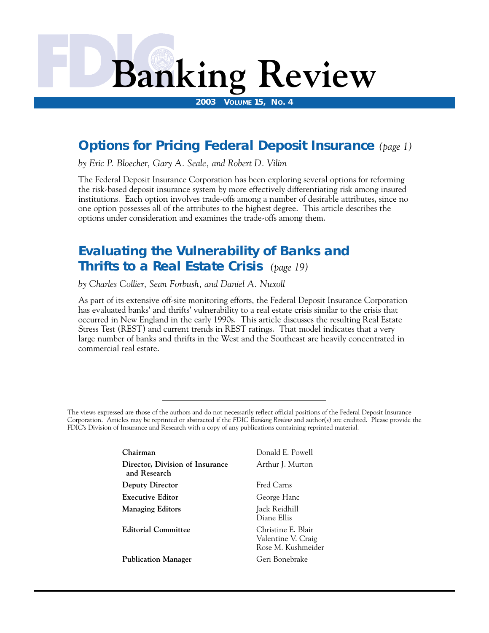# **Banking Review**

**2003 VOLUME 15, NO. 4** 

## **Options for Pricing Federal Deposit Insurance** *(page 1)*

*by Eric P. Bloecher, Gary A. Seale, and Robert D. Vilim* 

 options under consideration and examines the trade-offs among them. The Federal Deposit Insurance Corporation has been exploring several options for reforming the risk-based deposit insurance system by more effectively differentiating risk among insured institutions. Each option involves trade-offs among a number of desirable attributes, since no one option possesses all of the attributes to the highest degree. This article describes the

## **Evaluating the Vulnerability of Banks and Thrifts to a Real Estate Crisis** *(page 19)*

*by Charles Collier, Sean Forbush, and Daniel A. Nuxoll* 

As part of its extensive off-site monitoring efforts, the Federal Deposit Insurance Corporation has evaluated banks' and thrifts' vulnerability to a real estate crisis similar to the crisis that occurred in New England in the early 1990s. This article discusses the resulting Real Estate Stress Test (REST) and current trends in REST ratings. That model indicates that a very large number of banks and thrifts in the West and the Southeast are heavily concentrated in commercial real estate.

The views expressed are those of the authors and do not necessarily reflect official positions of the Federal Deposit Insurance Corporation. Articles may be reprinted or abstracted if the *FDIC Banking Review* and author(s) are credited. Please provide the FDIC's Division of Insurance and Research with a copy of any publications containing reprinted material.

| Chairman                                        | Donald E. Powell                                               |
|-------------------------------------------------|----------------------------------------------------------------|
| Director, Division of Insurance<br>and Research | Arthur J. Murton                                               |
| Deputy Director                                 | Fred Carns                                                     |
| <b>Executive Editor</b>                         | George Hanc                                                    |
| <b>Managing Editors</b>                         | Jack Reidhill<br>Diane Ellis                                   |
| <b>Editorial Committee</b>                      | Christine E. Blair<br>Valentine V. Craig<br>Rose M. Kushmeider |
| <b>Publication Manager</b>                      | Geri Bonebrake                                                 |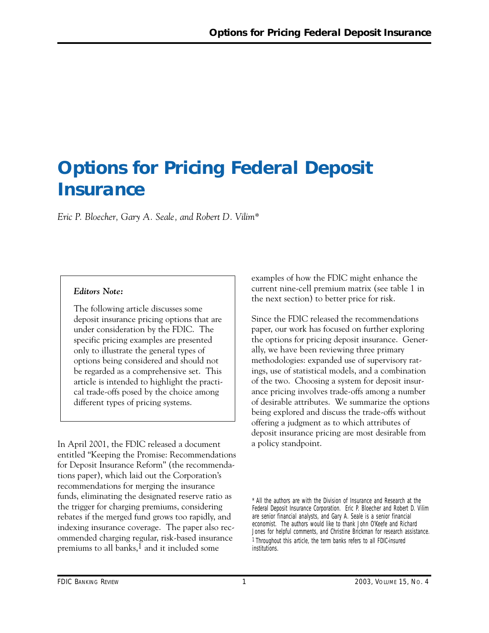## **Options for Pricing Federal Deposit Insurance**

*Eric P. Bloecher, Gary A. Seale, and Robert D. Vilim\** 

#### *Editors Note:*

The following article discusses some deposit insurance pricing options that are under consideration by the FDIC. The specific pricing examples are presented only to illustrate the general types of options being considered and should not be regarded as a comprehensive set. This article is intended to highlight the practical trade-offs posed by the choice among different types of pricing systems.

In April 2001, the FDIC released a document entitled "Keeping the Promise: Recommendations for Deposit Insurance Reform" (the recommendations paper), which laid out the Corporation's recommendations for merging the insurance funds, eliminating the designated reserve ratio as the trigger for charging premiums, considering rebates if the merged fund grows too rapidly, and indexing insurance coverage. The paper also recommended charging regular, risk-based insurance premiums to all banks, $<sup>1</sup>$  and it included some</sup>

examples of how the FDIC might enhance the current nine-cell premium matrix (see table 1 in the next section) to better price for risk.

Since the FDIC released the recommendations paper, our work has focused on further exploring the options for pricing deposit insurance. Generally, we have been reviewing three primary methodologies: expanded use of supervisory ratings, use of statistical models, and a combination of the two. Choosing a system for deposit insurance pricing involves trade-offs among a number of desirable attributes. We summarize the options being explored and discuss the trade-offs without offering a judgment as to which attributes of deposit insurance pricing are most desirable from a policy standpoint.

\* All the authors are with the Division of Insurance and Research at the Federal Deposit Insurance Corporation. Eric P. Bloecher and Robert D. Vilim are senior financial analysts, and Gary A. Seale is a senior financial economist. The authors would like to thank John O'Keefe and Richard Jones for helpful comments, and Christine Brickman for research assistance. 1 Throughout this article, the term *banks* refers to all FDIC-insured institutions.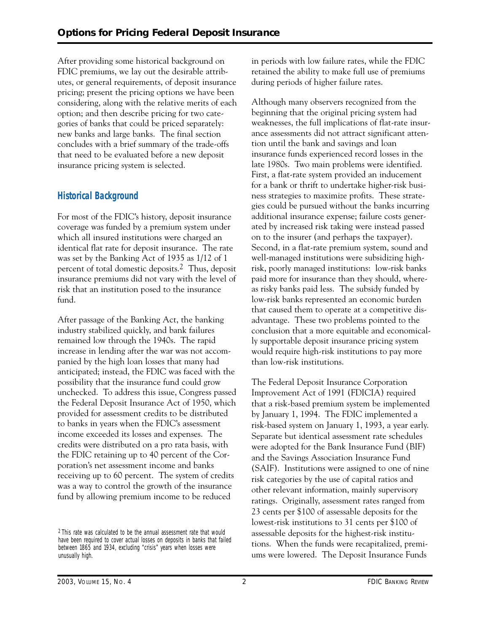After providing some historical background on FDIC premiums, we lay out the desirable attributes, or general requirements, of deposit insurance pricing; present the pricing options we have been considering, along with the relative merits of each option; and then describe pricing for two categories of banks that could be priced separately: new banks and large banks. The final section concludes with a brief summary of the trade-offs that need to be evaluated before a new deposit insurance pricing system is selected.

## **Historical Background**

For most of the FDIC's history, deposit insurance coverage was funded by a premium system under which all insured institutions were charged an identical flat rate for deposit insurance. The rate was set by the Banking Act of 1935 as 1/12 of 1 percent of total domestic deposits.2 Thus, deposit insurance premiums did not vary with the level of risk that an institution posed to the insurance fund.

After passage of the Banking Act, the banking industry stabilized quickly, and bank failures remained low through the 1940s. The rapid increase in lending after the war was not accompanied by the high loan losses that many had anticipated; instead, the FDIC was faced with the possibility that the insurance fund could grow unchecked. To address this issue, Congress passed the Federal Deposit Insurance Act of 1950, which provided for assessment credits to be distributed to banks in years when the FDIC's assessment income exceeded its losses and expenses. The credits were distributed on a pro rata basis, with the FDIC retaining up to 40 percent of the Corporation's net assessment income and banks receiving up to 60 percent. The system of credits was a way to control the growth of the insurance fund by allowing premium income to be reduced

2 This rate was calculated to be the annual assessment rate that would have been required to cover actual losses on deposits in banks that failed between 1865 and 1934, excluding "crisis" years when losses were unusually high.

in periods with low failure rates, while the FDIC retained the ability to make full use of premiums during periods of higher failure rates.

Although many observers recognized from the beginning that the original pricing system had weaknesses, the full implications of flat-rate insurance assessments did not attract significant attention until the bank and savings and loan insurance funds experienced record losses in the late 1980s. Two main problems were identified. First, a flat-rate system provided an inducement for a bank or thrift to undertake higher-risk business strategies to maximize profits. These strategies could be pursued without the banks incurring additional insurance expense; failure costs generated by increased risk taking were instead passed on to the insurer (and perhaps the taxpayer). Second, in a flat-rate premium system, sound and well-managed institutions were subsidizing highrisk, poorly managed institutions: low-risk banks paid more for insurance than they should, whereas risky banks paid less. The subsidy funded by low-risk banks represented an economic burden that caused them to operate at a competitive disadvantage. These two problems pointed to the conclusion that a more equitable and economically supportable deposit insurance pricing system would require high-risk institutions to pay more than low-risk institutions.

The Federal Deposit Insurance Corporation Improvement Act of 1991 (FDICIA) required that a risk-based premium system be implemented by January 1, 1994. The FDIC implemented a risk-based system on January 1, 1993, a year early. Separate but identical assessment rate schedules were adopted for the Bank Insurance Fund (BIF) and the Savings Association Insurance Fund (SAIF). Institutions were assigned to one of nine risk categories by the use of capital ratios and other relevant information, mainly supervisory ratings. Originally, assessment rates ranged from 23 cents per \$100 of assessable deposits for the lowest-risk institutions to 31 cents per \$100 of assessable deposits for the highest-risk institutions. When the funds were recapitalized, premiums were lowered. The Deposit Insurance Funds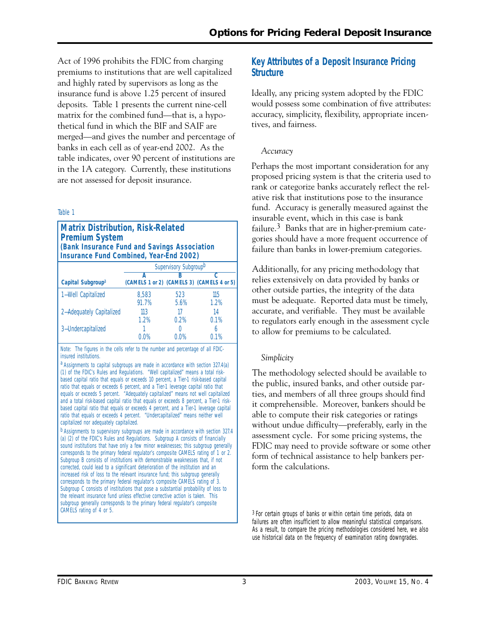Act of 1996 prohibits the FDIC from charging premiums to institutions that are well capitalized and highly rated by supervisors as long as the insurance fund is above 1.25 percent of insured deposits. Table 1 presents the current nine-cell matrix for the combined fund—that is, a hypothetical fund in which the BIF and SAIF are merged—and gives the number and percentage of banks in each cell as of year-end 2002. As the table indicates, over 90 percent of institutions are in the 1A category. Currently, these institutions are not assessed for deposit insurance.

#### Table 1

#### **Matrix Distribution, Risk-Related Premium System (Bank Insurance Fund and Savings Association Insurance Fund Combined, Year-End 2002)**

|                               | Supervisory Subgroup <sup>b</sup> |             |                                            |  |  |
|-------------------------------|-----------------------------------|-------------|--------------------------------------------|--|--|
| Capital Subgroup <sup>a</sup> |                                   | B           | (CAMELS 1 or 2) (CAMELS 3) (CAMELS 4 or 5) |  |  |
| 1-Well Capitalized            | 8.583<br>91.7%                    | 523<br>5.6% | 115<br>1.2%                                |  |  |
| 2-Adequately Capitalized      | 113<br>1.2%                       | 17<br>0.2%  | 14<br>0.1%                                 |  |  |
| 3-Undercapitalized            | በ በ%                              | ገ በ%        | 0.1%                                       |  |  |

*Note:* The figures in the cells refer to the number and percentage of all FDICinsured institutions.

a Assignments to capital subgroups are made in accordance with section 327.4(a) (1) of the FDIC's Rules and Regulations. "Well capitalized" means a total riskbased capital ratio that equals or exceeds 10 percent, a Tier-1 risk-based capital ratio that equals or exceeds 6 percent, and a Tier-1 leverage capital ratio that equals or exceeds 5 percent. "Adequately capitalized" means not well capitalized and a total risk-based capital ratio that equals or exceeds 8 percent, a Tier-1 riskbased capital ratio that equals or exceeds 4 percent, and a Tier-1 leverage capital ratio that equals or exceeds 4 percent. "Undercapitalized" means neither well capitalized nor adequately capitalized.

b Assignments to supervisory subgroups are made in accordance with section 327.4 (a) (2) of the FDIC's Rules and Regulations. Subgroup A consists of financially sound institutions that have only a few minor weaknesses; this subgroup generally corresponds to the primary federal regulator's composite CAMELS rating of 1 or 2. Subgroup B consists of institutions with demonstrable weaknesses that, if not corrected, could lead to a significant deterioration of the institution and an increased risk of loss to the relevant insurance fund; this subgroup generally corresponds to the primary federal regulator's composite CAMELS rating of 3. Subgroup C consists of institutions that pose a substantial probability of loss to the relevant insurance fund unless effective corrective action is taken. This subgroup generally corresponds to the primary federal regulator's composite CAMELS rating of 4 or 5.

#### **Key Attributes of a Deposit Insurance Pricing Structure**

Ideally, any pricing system adopted by the FDIC would possess some combination of five attributes: accuracy, simplicity, flexibility, appropriate incentives, and fairness.

#### *Accuracy*

Perhaps the most important consideration for any proposed pricing system is that the criteria used to rank or categorize banks accurately reflect the relative risk that institutions pose to the insurance fund. Accuracy is generally measured against the insurable event, which in this case is bank failure.<sup>3</sup> Banks that are in higher-premium categories should have a more frequent occurrence of failure than banks in lower-premium categories.

Additionally, for any pricing methodology that relies extensively on data provided by banks or other outside parties, the integrity of the data must be adequate. Reported data must be timely, accurate, and verifiable. They must be available to regulators early enough in the assessment cycle to allow for premiums to be calculated.

#### *Simplicity*

The methodology selected should be available to the public, insured banks, and other outside parties, and members of all three groups should find it comprehensible. Moreover, bankers should be able to compute their risk categories or ratings without undue difficulty—preferably, early in the assessment cycle. For some pricing systems, the FDIC may need to provide software or some other form of technical assistance to help bankers perform the calculations.

3 For certain groups of banks or within certain time periods, data on failures are often insufficient to allow meaningful statistical comparisons. As a result, to compare the pricing methodologies considered here, we also use historical data on the frequency of examination rating downgrades.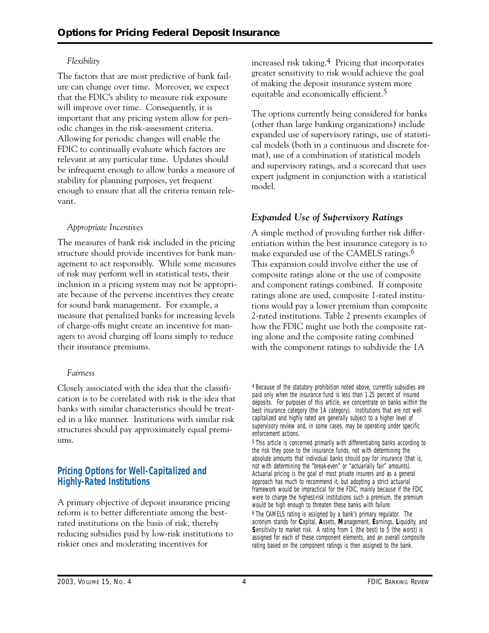#### *Flexibility*

The factors that are most predictive of bank failure can change over time. Moreover, we expect that the FDIC's ability to measure risk exposure will improve over time. Consequently, it is important that any pricing system allow for periodic changes in the risk-assessment criteria. Allowing for periodic changes will enable the FDIC to continually evaluate which factors are relevant at any particular time. Updates should be infrequent enough to allow banks a measure of stability for planning purposes, yet frequent enough to ensure that all the criteria remain relevant.

#### *Appropriate Incentives*

The measures of bank risk included in the pricing structure should provide incentives for bank management to act responsibly. While some measures of risk may perform well in statistical tests, their inclusion in a pricing system may not be appropriate because of the perverse incentives they create for sound bank management. For example, a measure that penalized banks for increasing levels of charge-offs might create an incentive for managers to avoid charging off loans simply to reduce their insurance premiums.

#### *Fairness*

Closely associated with the idea that the classification is to be correlated with risk is the idea that banks with similar characteristics should be treated in a like manner. Institutions with similar risk structures should pay approximately equal premiums.

### **Pricing Options for Well-Capitalized and Highly-Rated Institutions**

A primary objective of deposit insurance pricing reform is to better differentiate among the bestrated institutions on the basis of risk, thereby reducing subsidies paid by low-risk institutions to riskier ones and moderating incentives for

increased risk taking.4 Pricing that incorporates greater sensitivity to risk would achieve the goal of making the deposit insurance system more equitable and economically efficient.5

The options currently being considered for banks (other than large banking organizations) include expanded use of supervisory ratings, use of statistical models (both in a continuous and discrete format), use of a combination of statistical models and supervisory ratings, and a scorecard that uses expert judgment in conjunction with a statistical model.

## *Expanded Use of Supervisory Ratings*

A simple method of providing further risk differentiation within the best insurance category is to make expanded use of the CAMELS ratings.6 This expansion could involve either the use of composite ratings alone or the use of composite and component ratings combined. If composite ratings alone are used, composite 1-rated institutions would pay a lower premium than composite 2-rated institutions. Table 2 presents examples of how the FDIC might use both the composite rating alone and the composite rating combined with the component ratings to subdivide the 1A

<sup>4</sup> Because of the statutory prohibition noted above, currently subsidies are paid only when the insurance fund is less than 1.25 percent of insured deposits. For purposes of this article, we concentrate on banks within the best insurance category (the 1A category). Institutions that are not well capitalized and highly rated are generally subject to a higher level of supervisory review and, in some cases, may be operating under specific enforcement actions.

<sup>5</sup> This article is concerned primarily with differentiating banks according to the risk they pose to the insurance funds, not with determining the absolute amounts that individual banks should pay for insurance (that is, not with determining the "break-even" or "actuarially fair" amounts). Actuarial pricing is the goal of most private insurers and as a general approach has much to recommend it, but adopting a strict actuarial framework would be impractical for the FDIC, mainly because if the FDIC were to charge the highest-risk institutions such a premium, the premium would be high enough to threaten these banks with failure.

<sup>6</sup> The CAMELS rating is assigned by a bank's primary regulator. The acronym stands for **C**apital, **A**ssets, **M**anagement, **E**arnings, **L**iquidity, and **Sensitivity to market risk.** A rating from 1 (the best) to 5 (the worst) is assigned for each of these component elements, and an overall composite rating based on the component ratings is then assigned to the bank.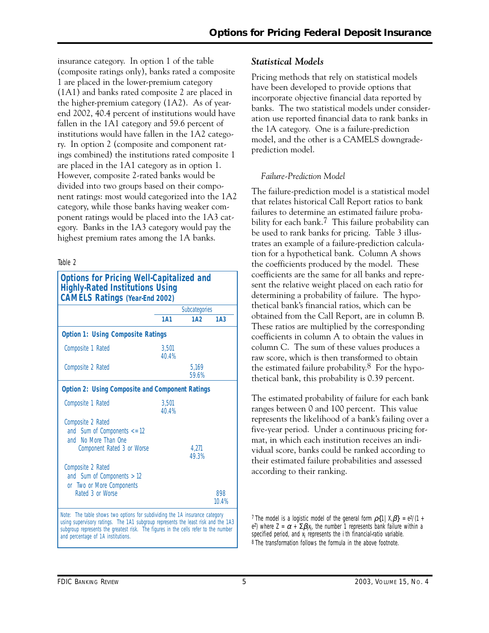insurance category. In option 1 of the table (composite ratings only), banks rated a composite 1 are placed in the lower-premium category (1A1) and banks rated composite 2 are placed in the higher-premium category (1A2). As of yearend 2002, 40.4 percent of institutions would have fallen in the 1A1 category and 59.6 percent of institutions would have fallen in the 1A2 category. In option 2 (composite and component ratings combined) the institutions rated composite 1 are placed in the 1A1 category as in option 1. However, composite 2-rated banks would be divided into two groups based on their component ratings: most would categorized into the 1A2 category, while those banks having weaker component ratings would be placed into the 1A3 category. Banks in the 1A3 category would pay the highest premium rates among the 1A banks.

#### Table 2

| <b>Options for Pricing Well-Capitalized and</b><br><b>Highly-Rated Institutions Using</b><br><b>CAMELS Ratings (Year-End 2002)</b>                                                                                                                      |                |                |                 |
|---------------------------------------------------------------------------------------------------------------------------------------------------------------------------------------------------------------------------------------------------------|----------------|----------------|-----------------|
|                                                                                                                                                                                                                                                         |                | Subcategories  |                 |
|                                                                                                                                                                                                                                                         | <b>1A1</b>     | 1A2            | 1A <sub>3</sub> |
| <b>Option 1: Using Composite Ratings</b>                                                                                                                                                                                                                |                |                |                 |
| Composite 1 Rated                                                                                                                                                                                                                                       | 3.501<br>40.4% |                |                 |
| Composite 2 Rated                                                                                                                                                                                                                                       |                | 5.169<br>59.6% |                 |
| <b>Option 2: Using Composite and Component Ratings</b>                                                                                                                                                                                                  |                |                |                 |
| Composite 1 Rated                                                                                                                                                                                                                                       | 3.501<br>40.4% |                |                 |
| Composite 2 Rated<br>and Sum of Components $\leq$ 12<br>and No More Than One<br>Component Rated 3 or Worse                                                                                                                                              |                | 4.27<br>49.3%  |                 |
| Composite 2 Rated<br>and Sum of Components $> 12$<br>or Two or More Components<br>Rated 3 or Worse                                                                                                                                                      |                |                | 898<br>10.4%    |
| Note: The table shows two options for subdividing the 1A insurance category<br>using supervisory ratings. The 1A1 subgroup represents the least risk and the 1A3<br>subgroup represents the greatest risk. The figures in the cells refer to the number |                |                |                 |

subgroup represents the greatest risk. The figures in the cells refer to the number and percentage of 1A institutions.

#### *Statistical Models*

Pricing methods that rely on statistical models have been developed to provide options that incorporate objective financial data reported by banks. The two statistical models under consideration use reported financial data to rank banks in the 1A category. One is a failure-prediction model, and the other is a CAMELS downgradeprediction model.

#### *Failure-Prediction Model*

The failure-prediction model is a statistical model that relates historical Call Report ratios to bank failures to determine an estimated failure probability for each bank.<sup>7</sup> This failure probability can be used to rank banks for pricing. Table 3 illustrates an example of a failure-prediction calculation for a hypothetical bank. Column A shows the coefficients produced by the model. These coefficients are the same for all banks and represent the relative weight placed on each ratio for determining a probability of failure. The hypothetical bank's financial ratios, which can be obtained from the Call Report, are in column B. These ratios are multiplied by the corresponding coefficients in column A to obtain the values in column C. The sum of these values produces a raw score, which is then transformed to obtain the estimated failure probability. $8$  For the hypothetical bank, this probability is 0.39 percent.

The estimated probability of failure for each bank ranges between 0 and 100 percent. This value represents the likelihood of a bank's failing over a five-year period. Under a continuous pricing format, in which each institution receives an individual score, banks could be ranked according to their estimated failure probabilities and assessed according to their ranking.

<sup>7</sup> The model is a logistic model of the general form  $\rho\{1|X,\beta\} = e^{Z}/(1 +$ e<sup>2</sup>) where  $Z = \alpha + \Sigma \beta_i x_i$ , the number 1 represents bank failure within a specified period, and x<sub>i</sub> represents the /th financial-ratio variable. 8 The transformation follows the formula in the above footnote.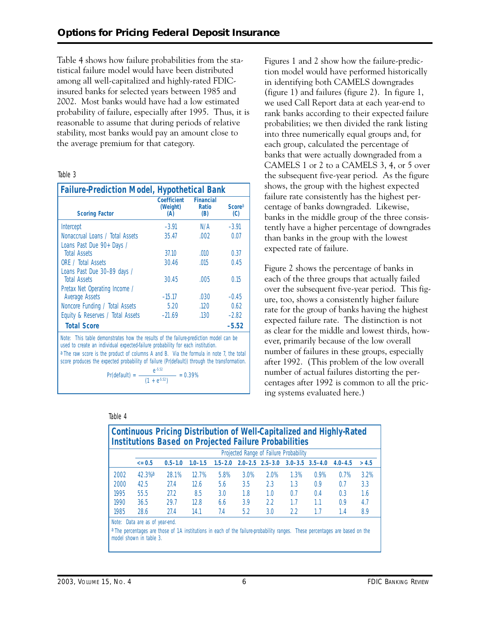Table 4 shows how failure probabilities from the statistical failure model would have been distributed among all well-capitalized and highly-rated FDICinsured banks for selected years between 1985 and 2002. Most banks would have had a low estimated probability of failure, especially after 1995. Thus, it is reasonable to assume that during periods of relative stability, most banks would pay an amount close to the average premium for that category.

#### Table 3

| <b>Failure-Prediction Model, Hypothetical Bank</b>                                                                                                                                      |                                              |                                  |                                  |  |  |
|-----------------------------------------------------------------------------------------------------------------------------------------------------------------------------------------|----------------------------------------------|----------------------------------|----------------------------------|--|--|
| <b>Scoring Factor</b>                                                                                                                                                                   | Coefficient<br>(Weight)<br>(A)               | <b>Financial</b><br>Ratio<br>(B) | <b>Score</b> <sup>a</sup><br>(C) |  |  |
| Intercept                                                                                                                                                                               | $-3.91$                                      | N/A                              | $-3.91$                          |  |  |
| Nonaccrual Loans / Total Assets                                                                                                                                                         | 35.47                                        | $.002 -$                         | 0.07                             |  |  |
| Loans Past Due 90+ Days /                                                                                                                                                               |                                              |                                  |                                  |  |  |
| <b>Total Assets</b>                                                                                                                                                                     | 37.10                                        | .010                             | 0.37                             |  |  |
| ORF / Total Assets                                                                                                                                                                      | 30.46                                        | .015                             | 0.45                             |  |  |
| Loans Past Due 30-89 days /                                                                                                                                                             |                                              |                                  |                                  |  |  |
| <b>Total Assets</b>                                                                                                                                                                     | 30.45                                        | .005                             | 0.15                             |  |  |
| Pretax Net Operating Income /                                                                                                                                                           |                                              |                                  |                                  |  |  |
| <b>Average Assets</b>                                                                                                                                                                   | $-15.17$                                     | $.030 -$                         | $-0.45$                          |  |  |
| Noncore Funding / Total Assets                                                                                                                                                          | 5.20                                         | .120                             | 0.62                             |  |  |
| Equity & Reserves / Total Assets                                                                                                                                                        | $-21.69$                                     | .130                             | $-2.82$                          |  |  |
| <b>Total Score</b>                                                                                                                                                                      |                                              |                                  | $-5.52$                          |  |  |
| Note: This table demonstrates how the results of the failure-prediction model can be<br>used to create an individual expected-failure probability for each institution.                 |                                              |                                  |                                  |  |  |
| a The raw score is the product of columns A and B. Via the formula in note 7, the total<br>score produces the expected probability of failure (Pr(default)) through the transformation. |                                              |                                  |                                  |  |  |
| $Pr(default) =$                                                                                                                                                                         | $rac{e^{5.52}}{(1 + e^{5.52})}$<br>$= 0.39%$ |                                  |                                  |  |  |

Table 4

Figures 1 and 2 show how the failure-prediction model would have performed historically in identifying both CAMELS downgrades (figure 1) and failures (figure 2). In figure 1, we used Call Report data at each year-end to rank banks according to their expected failure probabilities; we then divided the rank listing into three numerically equal groups and, for each group, calculated the percentage of banks that were actually downgraded from a CAMELS 1 or 2 to a CAMELS 3, 4, or 5 over the subsequent five-year period. As the figure shows, the group with the highest expected failure rate consistently has the highest percentage of banks downgraded. Likewise, banks in the middle group of the three consistently have a higher percentage of downgrades than banks in the group with the lowest expected rate of failure.

Figure 2 shows the percentage of banks in each of the three groups that actually failed over the subsequent five-year period. This figure, too, shows a consistently higher failure rate for the group of banks having the highest expected failure rate. The distinction is not as clear for the middle and lowest thirds, however, primarily because of the low overall number of failures in these groups, especially after 1992. (This problem of the low overall number of actual failures distorting the percentages after 1992 is common to all the pricing systems evaluated here.)

|      |                      |             |             |      |      |      | Projected Range of Failure Probability                      |      |             |       |
|------|----------------------|-------------|-------------|------|------|------|-------------------------------------------------------------|------|-------------|-------|
|      | $= 0.5$              | $0.5 - 1.0$ | $1.0 - 1.5$ |      |      |      | $1.5 - 2.0$ $2.0 - 2.5$ $2.5 - 3.0$ $3.0 - 3.5$ $3.5 - 4.0$ |      | $4.0 - 4.5$ | > 4.5 |
| 2002 | $42.3%$ <sup>a</sup> | 28.1%       | 12.7%       | 5.8% | 3.0% | 2.0% | 1.3%                                                        | 0.9% | 0.7%        | 3.2%  |
| 2000 | 42.5                 | 27.4        | 12.6        | 5.6  | 3.5  | 2.3  | 1.3                                                         | 0.9  | 0.7         | 3.3   |
| 1995 | 55.5                 | 27.2        | 8.5         | 3.0  | 1.8  | 1.0  | 0.7                                                         | 0.4  | 0.3         | 1.6   |
| 1990 | 36.5                 | 29.7        | 12.8        | 6.6  | 3.9  | 22   | 1.7                                                         | 1.1  | 0.9         | 4.7   |
| 1985 | 28.6                 | 27.4        | 14.1        | 7.4  | 5.2  | 3.0  | 22                                                          | 1.7  | 1.4         | 8.9   |

# **Continuous Pricing Distribution of Well-Capitalized and Highly-Rated**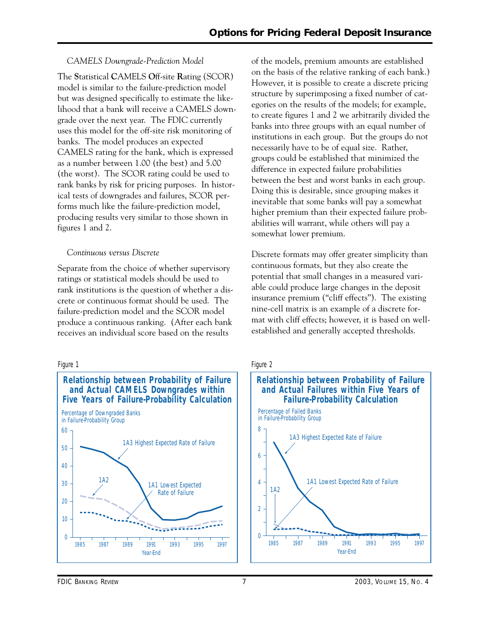#### *CAMELS Downgrade-Prediction Model*

The **S**tatistical **C**AMELS **O**ff-site **R**ating (SCOR) model is similar to the failure-prediction model but was designed specifically to estimate the likelihood that a bank will receive a CAMELS downgrade over the next year. The FDIC currently uses this model for the off-site risk monitoring of banks. The model produces an expected CAMELS rating for the bank, which is expressed as a number between 1.00 (the best) and 5.00 (the worst). The SCOR rating could be used to rank banks by risk for pricing purposes. In historical tests of downgrades and failures, SCOR performs much like the failure-prediction model, producing results very similar to those shown in figures 1 and 2.

#### *Continuous versus Discrete*

Separate from the choice of whether supervisory ratings or statistical models should be used to rank institutions is the question of whether a discrete or continuous format should be used. The failure-prediction model and the SCOR model produce a continuous ranking. (After each bank receives an individual score based on the results

of the models, premium amounts are established on the basis of the relative ranking of each bank.) However, it is possible to create a discrete pricing structure by superimposing a fixed number of categories on the results of the models; for example, to create figures 1 and 2 we arbitrarily divided the banks into three groups with an equal number of institutions in each group. But the groups do not necessarily have to be of equal size. Rather, groups could be established that minimized the difference in expected failure probabilities between the best and worst banks in each group. Doing this is desirable, since grouping makes it inevitable that some banks will pay a somewhat higher premium than their expected failure probabilities will warrant, while others will pay a somewhat lower premium.

Discrete formats may offer greater simplicity than continuous formats, but they also create the potential that small changes in a measured variable could produce large changes in the deposit insurance premium ("cliff effects"). The existing nine-cell matrix is an example of a discrete format with cliff effects; however, it is based on wellestablished and generally accepted thresholds.

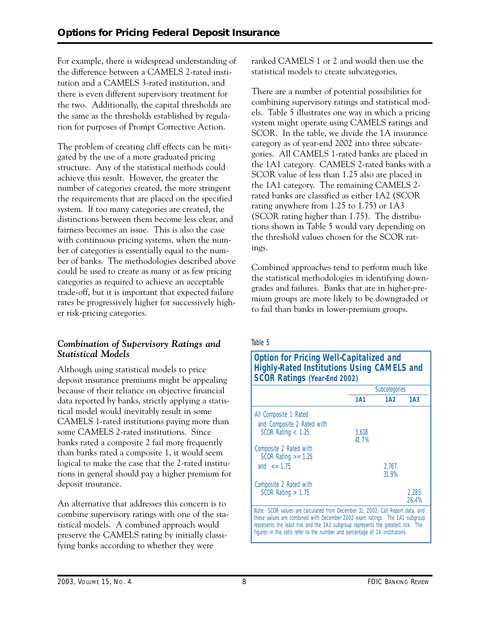For example, there is widespread understanding of the difference between a CAMELS 2-rated institution and a CAMELS 3-rated institution, and there is even different supervisory treatment for the two. Additionally, the capital thresholds are the same as the thresholds established by regulation for purposes of Prompt Corrective Action.

The problem of creating cliff effects can be mitigated by the use of a more graduated pricing structure. Any of the statistical methods could achieve this result. However, the greater the number of categories created, the more stringent the requirements that are placed on the specified system. If too many categories are created, the distinctions between them become less clear, and fairness becomes an issue. This is also the case with continuous pricing systems, when the number of categories is essentially equal to the number of banks. The methodologies described above could be used to create as many or as few pricing categories as required to achieve an acceptable trade-off, but it is important that expected failure rates be progressively higher for successively higher risk-pricing categories.

### *Combination of Supervisory Ratings and Statistical Models*

Although using statistical models to price deposit insurance premiums might be appealing because of their reliance on objective financial data reported by banks, strictly applying a statistical model would inevitably result in some CAMELS 1-rated institutions paying more than some CAMELS 2-rated institutions. Since banks rated a composite 2 fail more frequently than banks rated a composite 1, it would seem logical to make the case that the 2-rated institutions in general should pay a higher premium for deposit insurance.

 tistical models. A combined approach would An alternative that addresses this concern is to combine supervisory ratings with one of the stapreserve the CAMELS rating by initially classifying banks according to whether they were

ranked CAMELS 1 or 2 and would then use the statistical models to create subcategories.

There are a number of potential possibilities for combining supervisory ratings and statistical models. Table 5 illustrates one way in which a pricing system might operate using CAMELS ratings and SCOR. In the table, we divide the 1A insurance category as of year-end 2002 into three subcategories. All CAMELS 1-rated banks are placed in the 1A1 category. CAMELS 2-rated banks with a SCOR value of less than 1.25 also are placed in the 1A1 category. The remaining CAMELS 2 rated banks are classified as either 1A2 (SCOR rating anywhere from 1.25 to 1.75) or 1A3 (SCOR rating higher than 1.75). The distributions shown in Table 5 would vary depending on the threshold values chosen for the SCOR ratings.

Combined approaches tend to perform much like the statistical methodologies in identifying downgrades and failures. Banks that are in higher-premium groups are more likely to be downgraded or to fail than banks in lower-premium groups.

#### Table 5

| <b>Option for Pricing Well-Capitalized and</b>    |
|---------------------------------------------------|
| <b>Highly-Rated Institutions Using CAMELS and</b> |
| <b>SCOR Ratings (Year-End 2002)</b>               |

|                                                                                       | Subcategories |                 |                 |
|---------------------------------------------------------------------------------------|---------------|-----------------|-----------------|
|                                                                                       | <b>1A1</b>    | 1A <sub>2</sub> | 1A <sub>3</sub> |
| All Composite 1 Rated                                                                 |               |                 |                 |
| and Composite 2 Rated with                                                            |               |                 |                 |
|                                                                                       |               |                 |                 |
| SCOR Rating $< 1.25$                                                                  | 3.618         |                 |                 |
|                                                                                       | 41.7%         |                 |                 |
| Composite 2 Rated with                                                                |               |                 |                 |
| $SCOR$ Rating $\geq$ 1.25                                                             |               |                 |                 |
|                                                                                       |               |                 |                 |
| and $\leq$ 1.75                                                                       |               | 2.767           |                 |
|                                                                                       |               | 31.9%           |                 |
|                                                                                       |               |                 |                 |
| Composite 2 Rated with                                                                |               |                 |                 |
| $SCOR$ Rating $> 1.75$                                                                |               |                 | 2.285           |
|                                                                                       |               |                 | 26.4%           |
| <i>Note:</i> SCOR values are calculated from December 31, 2002, Call Report data, and |               |                 |                 |

these values are combined with December 2002 exam ratings. The 1A1 subgroup represents the least risk and the 1A3 subgroup represents the greatest risk. The figures in the cells refer to the number and percentage of 1A institutions.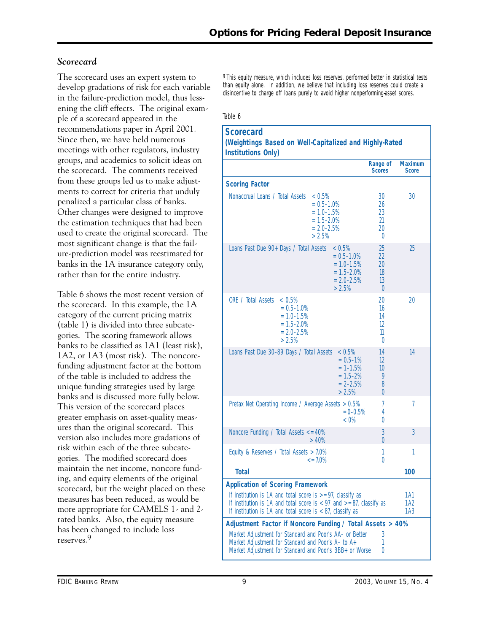## *Scorecard*

develop gradations of risk for each variable than equity alone. In addition, we believe that including loss reserves could crea<br>in the failure-prediction model, thus less-<br>in the failure-prediction model, thus lessening the cliff effects. The original example of a scorecard appeared in the Table 6 recommendations paper in April 2001. Since then, we have held numerous meetings with other regulators, industry groups, and academics to solicit ideas on the scorecard. The comments received from these groups led us to make adjustments to correct for criteria that unduly penalized a particular class of banks. Other changes were designed to improve the estimation techniques that had been used to create the original scorecard. The most significant change is that the failure-prediction model was reestimated for banks in the 1A insurance category only, rather than for the entire industry.

Table 6 shows the most recent version of the scorecard. In this example, the 1A category of the current pricing matrix (table 1) is divided into three subcategories. The scoring framework allows banks to be classified as 1A1 (least risk), 1A2, or 1A3 (most risk). The noncorefunding adjustment factor at the bottom of the table is included to address the unique funding strategies used by large banks and is discussed more fully below. This version of the scorecard places greater emphasis on asset-quality measures than the original scorecard. This version also includes more gradations of risk within each of the three subcategories. The modified scorecard does maintain the net income, noncore funding, and equity elements of the original scorecard, but the weight placed on these measures has been reduced, as would be more appropriate for CAMELS 1- and 2 rated banks. Also, the equity measure has been changed to include loss reserves.9

The scorecard uses an expert system to <sup>9</sup> This equity measure, which includes loss reserves, performed better in statistical tests develop gradations of risk for each variable than equity alone. In addition, we believe th

| <b>Scorecard</b><br>(Weightings Based on Well-Capitalized and Highly-Rated<br><b>Institutions Only)</b>                                                                                                                                                                                        |                                                                                           |                                        |                                |
|------------------------------------------------------------------------------------------------------------------------------------------------------------------------------------------------------------------------------------------------------------------------------------------------|-------------------------------------------------------------------------------------------|----------------------------------------|--------------------------------|
|                                                                                                                                                                                                                                                                                                |                                                                                           | Range of<br><b>Scores</b>              | <b>Maximum</b><br><b>Score</b> |
| <b>Scoring Factor</b>                                                                                                                                                                                                                                                                          |                                                                                           |                                        |                                |
| Nonaccrual Loans / Total Assets                                                                                                                                                                                                                                                                | < 0.5%<br>$= 0.5 - 1.0\%$<br>$= 1.0 - 1.5%$<br>$= 1.5 - 2.0\%$<br>$= 2.0 - 2.5%$<br>>2.5% | 30<br>26<br>23<br>21<br>20<br>$\theta$ | 30                             |
| Loans Past Due 90+ Days / Total Assets                                                                                                                                                                                                                                                         | < 0.5%<br>$= 0.5 - 1.0\%$<br>$= 1.0 - 1.5%$<br>$= 1.5 - 2.0%$<br>$= 2.0 - 2.5%$<br>> 2.5% | 25<br>22<br>20<br>18<br>13<br>$\theta$ | 25                             |
| ORE / Total Assets<br>$~< 0.5\%$<br>$= 0.5 - 1.0\%$<br>$= 1.0 - 1.5%$<br>$= 1.5 - 2.0\%$<br>$= 2.0 - 2.5%$<br>>2.5%                                                                                                                                                                            |                                                                                           | 20<br>16<br>14<br>12<br>11<br>$\theta$ | 20                             |
| Loans Past Due 30-89 Days / Total Assets < 0.5%                                                                                                                                                                                                                                                | $= 0.5 - 1\%$<br>$= 1 - 1.5%$<br>$= 1.5 - 2%$<br>$= 2 - 2.5%$<br>>2.5%                    | 14<br>12<br>10<br>9<br>8<br>$\Omega$   | 14                             |
| Pretax Net Operating Income / Average Assets > 0.5%                                                                                                                                                                                                                                            | $= 0 - 0.5%$<br>$< 0\%$                                                                   | 7<br>4<br>0                            | 7                              |
| Noncore Funding / Total Assets $\leq$ 40%                                                                                                                                                                                                                                                      | >40%                                                                                      | 3<br>$\Omega$                          | 3                              |
| Equity & Reserves / Total Assets > 7.0%                                                                                                                                                                                                                                                        | $\epsilon$ = 7.0%                                                                         | 1<br>0                                 | 1                              |
| <b>Total</b>                                                                                                                                                                                                                                                                                   |                                                                                           |                                        | 100                            |
| <b>Application of Scoring Framework</b><br>If institution is 1A and total score is $> = 97$ , classify as<br>If institution is 1A and total score is $\langle 97 \rangle$ and $\langle 87 \rangle$ and $\langle 87 \rangle$ as<br>If institution is 1A and total score is $< 87$ , classify as |                                                                                           |                                        | 1A1<br>1A2<br>1A3              |
| Adjustment Factor if Noncore Funding / Total Assets > 40%                                                                                                                                                                                                                                      |                                                                                           |                                        |                                |
| Market Adjustment for Standard and Poor's AA- or Better<br>Market Adjustment for Standard and Poor's A- to A+<br>Market Adjustment for Standard and Poor's BBB+ or Worse                                                                                                                       |                                                                                           | 3<br>1<br>0                            |                                |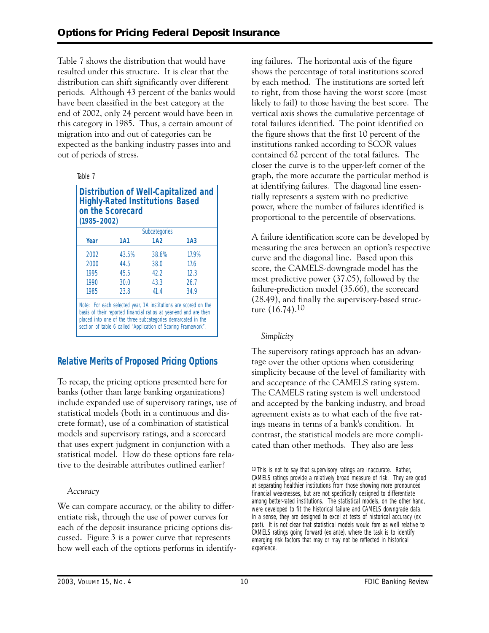this category in 1985. Thus, a certain amount of Table 7 shows the distribution that would have resulted under this structure. It is clear that the distribution can shift significantly over different periods. Although 43 percent of the banks would have been classified in the best category at the end of 2002, only 24 percent would have been in migration into and out of categories can be expected as the banking industry passes into and out of periods of stress.

| ٦<br>× |  |
|--------|--|
|--------|--|

| $(1985 - 2002)$ | on the Scorecard | <b>Highly-Rated Institutions Based</b> | <b>Distribution of Well-Capitalized and</b> |
|-----------------|------------------|----------------------------------------|---------------------------------------------|
|                 |                  | Subcategories                          |                                             |
| Year            | <b>1A1</b>       | 1A2                                    | 1A <sub>3</sub>                             |

| 2002 | 43.5%                                                             | 38.6% | 17.9%                                                           |
|------|-------------------------------------------------------------------|-------|-----------------------------------------------------------------|
| 2000 | 44.5                                                              | 38.0  | 17.6                                                            |
| 1995 | 45.5                                                              | 42.2  | 12.3                                                            |
| 1990 | 30.0                                                              | 43.3  | 26.7                                                            |
| 1985 | 23.8                                                              | 41.4  | 34.9                                                            |
|      | basis of their reported financial ratios at year-end and are then |       | Note: For each selected year, 1A institutions are scored on the |

basis of their reported financial ratios at year-end and are then placed into one of the three subcategories demarcated in the section of table 6 called "Application of Scoring Framework".

## **Relative Merits of Proposed Pricing Options**

To recap, the pricing options presented here for banks (other than large banking organizations) include expanded use of supervisory ratings, use of statistical models (both in a continuous and discrete format), use of a combination of statistical models and supervisory ratings, and a scorecard that uses expert judgment in conjunction with a statistical model. How do these options fare relative to the desirable attributes outlined earlier?

#### *Accuracy*

We can compare accuracy, or the ability to differentiate risk, through the use of power curves for each of the deposit insurance pricing options discussed. Figure 3 is a power curve that represents how well each of the options performs in identifying failures. The horizontal axis of the figure shows the percentage of total institutions scored by each method. The institutions are sorted left to right, from those having the worst score (most likely to fail) to those having the best score. The vertical axis shows the cumulative percentage of total failures identified. The point identified on the figure shows that the first 10 percent of the institutions ranked according to SCOR values contained 62 percent of the total failures. The closer the curve is to the upper-left corner of the graph, the more accurate the particular method is at identifying failures. The diagonal line essentially represents a system with no predictive power, where the number of failures identified is proportional to the percentile of observations.

A failure identification score can be developed by measuring the area between an option's respective curve and the diagonal line. Based upon this score, the CAMELS-downgrade model has the most predictive power (37.05), followed by the failure-prediction model (35.66), the scorecard (28.49), and finally the supervisory-based structure (16.74).10

#### *Simplicity*

The supervisory ratings approach has an advantage over the other options when considering simplicity because of the level of familiarity with and acceptance of the CAMELS rating system. The CAMELS rating system is well understood and accepted by the banking industry, and broad agreement exists as to what each of the five ratings means in terms of a bank's condition. In contrast, the statistical models are more complicated than other methods. They also are less

10 This is not to say that supervisory ratings are inaccurate. Rather, CAMELS ratings provide a relatively broad measure of risk. They are good at separating healthier institutions from those showing more pronounced financial weaknesses, but are not specifically designed to differentiate among better-rated institutions. The statistical models, on the other hand, were developed to fit the historical failure and CAMELS downgrade data. In a sense, they are designed to excel at tests of historical accuracy (ex post). It is not clear that statistical models would fare as well relative to CAMELS ratings going forward (ex ante), where the task is to identify emerging risk factors that may or may not be reflected in historical experience.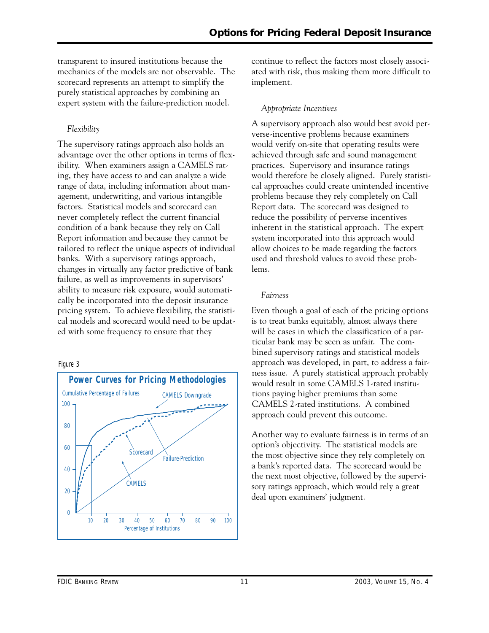transparent to insured institutions because the mechanics of the models are not observable. The scorecard represents an attempt to simplify the purely statistical approaches by combining an expert system with the failure-prediction model.

## *Flexibility*

The supervisory ratings approach also holds an advantage over the other options in terms of flexibility. When examiners assign a CAMELS rating, they have access to and can analyze a wide range of data, including information about management, underwriting, and various intangible factors. Statistical models and scorecard can never completely reflect the current financial condition of a bank because they rely on Call Report information and because they cannot be tailored to reflect the unique aspects of individual banks. With a supervisory ratings approach, changes in virtually any factor predictive of bank failure, as well as improvements in supervisors' ability to measure risk exposure, would automatically be incorporated into the deposit insurance pricing system. To achieve flexibility, the statistical models and scorecard would need to be updated with some frequency to ensure that they

#### Figure 3



continue to reflect the factors most closely associated with risk, thus making them more difficult to implement.

#### *Appropriate Incentives*

A supervisory approach also would best avoid perverse-incentive problems because examiners would verify on-site that operating results were achieved through safe and sound management practices. Supervisory and insurance ratings would therefore be closely aligned. Purely statistical approaches could create unintended incentive problems because they rely completely on Call Report data. The scorecard was designed to reduce the possibility of perverse incentives inherent in the statistical approach. The expert system incorporated into this approach would allow choices to be made regarding the factors used and threshold values to avoid these problems.

#### *Fairness*

 ness issue. A purely statistical approach probably CAMELS 2-rated institutions. A combined Even though a goal of each of the pricing options is to treat banks equitably, almost always there will be cases in which the classification of a particular bank may be seen as unfair. The combined supervisory ratings and statistical models approach was developed, in part, to address a fairwould result in some CAMELS 1-rated institutions paying higher premiums than some approach could prevent this outcome.

Another way to evaluate fairness is in terms of an option's objectivity. The statistical models are the most objective since they rely completely on a bank's reported data. The scorecard would be the next most objective, followed by the supervisory ratings approach, which would rely a great deal upon examiners' judgment.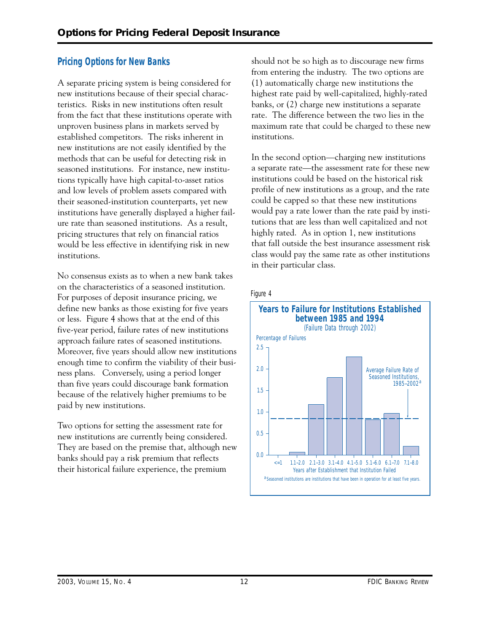## **Pricing Options for New Banks**

A separate pricing system is being considered for new institutions because of their special characteristics. Risks in new institutions often result from the fact that these institutions operate with unproven business plans in markets served by established competitors. The risks inherent in new institutions are not easily identified by the methods that can be useful for detecting risk in seasoned institutions. For instance, new institutions typically have high capital-to-asset ratios and low levels of problem assets compared with their seasoned-institution counterparts, yet new institutions have generally displayed a higher failure rate than seasoned institutions. As a result, pricing structures that rely on financial ratios would be less effective in identifying risk in new institutions.

 ness plans. Conversely, using a period longer No consensus exists as to when a new bank takes on the characteristics of a seasoned institution. For purposes of deposit insurance pricing, we define new banks as those existing for five years or less. Figure 4 shows that at the end of this five-year period, failure rates of new institutions approach failure rates of seasoned institutions. Moreover, five years should allow new institutions enough time to confirm the viability of their busithan five years could discourage bank formation because of the relatively higher premiums to be paid by new institutions.

Two options for setting the assessment rate for new institutions are currently being considered. They are based on the premise that, although new banks should pay a risk premium that reflects their historical failure experience, the premium

should not be so high as to discourage new firms from entering the industry. The two options are (1) automatically charge new institutions the highest rate paid by well-capitalized, highly-rated banks, or (2) charge new institutions a separate rate. The difference between the two lies in the maximum rate that could be charged to these new institutions.

In the second option—charging new institutions a separate rate—the assessment rate for these new institutions could be based on the historical risk profile of new institutions as a group, and the rate could be capped so that these new institutions would pay a rate lower than the rate paid by institutions that are less than well capitalized and not highly rated. As in option 1, new institutions that fall outside the best insurance assessment risk class would pay the same rate as other institutions in their particular class.

#### Figure 4

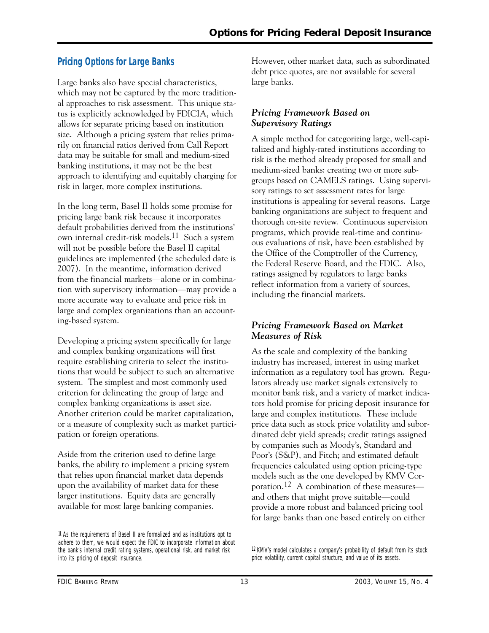## **Pricing Options for Large Banks**

Large banks also have special characteristics, which may not be captured by the more traditional approaches to risk assessment. This unique status is explicitly acknowledged by FDICIA, which allows for separate pricing based on institution size. Although a pricing system that relies primarily on financial ratios derived from Call Report data may be suitable for small and medium-sized banking institutions, it may not be the best approach to identifying and equitably charging for risk in larger, more complex institutions.

In the long term, Basel II holds some promise for pricing large bank risk because it incorporates default probabilities derived from the institutions' own internal credit-risk models.11 Such a system will not be possible before the Basel II capital guidelines are implemented (the scheduled date is 2007). In the meantime, information derived from the financial markets—alone or in combination with supervisory information—may provide a more accurate way to evaluate and price risk in large and complex organizations than an accounting-based system.

Developing a pricing system specifically for large and complex banking organizations will first require establishing criteria to select the institutions that would be subject to such an alternative system. The simplest and most commonly used criterion for delineating the group of large and complex banking organizations is asset size. Another criterion could be market capitalization, or a measure of complexity such as market participation or foreign operations.

Aside from the criterion used to define large banks, the ability to implement a pricing system that relies upon financial market data depends upon the availability of market data for these larger institutions. Equity data are generally available for most large banking companies.

However, other market data, such as subordinated debt price quotes, are not available for several large banks.

#### *Pricing Framework Based on Supervisory Ratings*

A simple method for categorizing large, well-capitalized and highly-rated institutions according to risk is the method already proposed for small and medium-sized banks: creating two or more subgroups based on CAMELS ratings. Using supervisory ratings to set assessment rates for large institutions is appealing for several reasons. Large banking organizations are subject to frequent and thorough on-site review. Continuous supervision programs, which provide real-time and continuous evaluations of risk, have been established by the Office of the Comptroller of the Currency, the Federal Reserve Board, and the FDIC. Also, ratings assigned by regulators to large banks reflect information from a variety of sources, including the financial markets.

#### *Pricing Framework Based on Market Measures of Risk*

As the scale and complexity of the banking industry has increased, interest in using market information as a regulatory tool has grown. Regulators already use market signals extensively to monitor bank risk, and a variety of market indicators hold promise for pricing deposit insurance for large and complex institutions. These include price data such as stock price volatility and subordinated debt yield spreads; credit ratings assigned by companies such as Moody's, Standard and Poor's (S&P), and Fitch; and estimated default frequencies calculated using option pricing-type models such as the one developed by KMV Corporation.12 A combination of these measures and others that might prove suitable—could provide a more robust and balanced pricing tool for large banks than one based entirely on either

<sup>11</sup> As the requirements of Basel II are formalized and as institutions opt to adhere to them, we would expect the FDIC to incorporate information about the bank's internal credit rating systems, operational risk, and market risk into its pricing of deposit insurance.

<sup>12</sup> KMV's model calculates a company's probability of default from its stock price volatility, current capital structure, and value of its assets.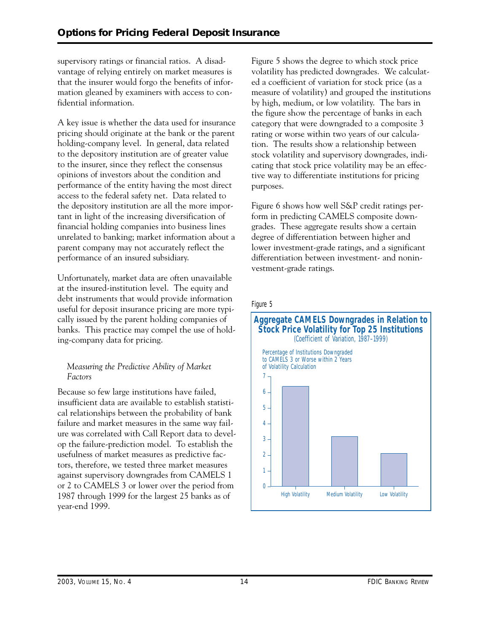supervisory ratings or financial ratios. A disadvantage of relying entirely on market measures is that the insurer would forgo the benefits of information gleaned by examiners with access to confidential information.

A key issue is whether the data used for insurance pricing should originate at the bank or the parent holding-company level. In general, data related to the depository institution are of greater value to the insurer, since they reflect the consensus opinions of investors about the condition and performance of the entity having the most direct access to the federal safety net. Data related to the depository institution are all the more important in light of the increasing diversification of financial holding companies into business lines unrelated to banking; market information about a parent company may not accurately reflect the performance of an insured subsidiary.

Unfortunately, market data are often unavailable at the insured-institution level. The equity and debt instruments that would provide information useful for deposit insurance pricing are more typically issued by the parent holding companies of banks. This practice may compel the use of holding-company data for pricing.

#### *Measuring the Predictive Ability of Market Factors*

Because so few large institutions have failed, insufficient data are available to establish statistical relationships between the probability of bank failure and market measures in the same way failure was correlated with Call Report data to develop the failure-prediction model. To establish the usefulness of market measures as predictive factors, therefore, we tested three market measures against supervisory downgrades from CAMELS 1 or 2 to CAMELS 3 or lower over the period from 1987 through 1999 for the largest 25 banks as of year-end 1999.

Figure 5 shows the degree to which stock price volatility has predicted downgrades. We calculated a coefficient of variation for stock price (as a measure of volatility) and grouped the institutions by high, medium, or low volatility. The bars in the figure show the percentage of banks in each category that were downgraded to a composite 3 rating or worse within two years of our calculation. The results show a relationship between stock volatility and supervisory downgrades, indicating that stock price volatility may be an effective way to differentiate institutions for pricing purposes.

Figure 6 shows how well S&P credit ratings perform in predicting CAMELS composite downgrades. These aggregate results show a certain degree of differentiation between higher and lower investment-grade ratings, and a significant differentiation between investment- and noninvestment-grade ratings.

Figure 5

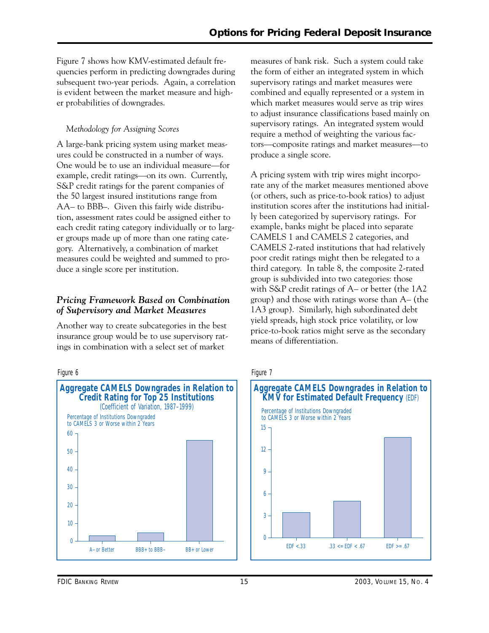subsequent two-year periods. Again, a correlation Figure 7 shows how KMV-estimated default frequencies perform in predicting downgrades during is evident between the market measure and higher probabilities of downgrades.

### *Methodology for Assigning Scores*

A large-bank pricing system using market measures could be constructed in a number of ways. One would be to use an individual measure—for example, credit ratings—on its own. Currently, S&P credit ratings for the parent companies of the 50 largest insured institutions range from AA– to BBB–. Given this fairly wide distribution, assessment rates could be assigned either to each credit rating category individually or to larger groups made up of more than one rating category. Alternatively, a combination of market measures could be weighted and summed to produce a single score per institution.

### *Pricing Framework Based on Combination of Supervisory and Market Measures*

Another way to create subcategories in the best insurance group would be to use supervisory ratings in combination with a select set of market





measures of bank risk. Such a system could take the form of either an integrated system in which supervisory ratings and market measures were combined and equally represented or a system in which market measures would serve as trip wires to adjust insurance classifications based mainly on supervisory ratings. An integrated system would require a method of weighting the various factors—composite ratings and market measures—to produce a single score.

 third category. In table 8, the composite 2-rated A pricing system with trip wires might incorporate any of the market measures mentioned above (or others, such as price-to-book ratios) to adjust institution scores after the institutions had initially been categorized by supervisory ratings. For example, banks might be placed into separate CAMELS 1 and CAMELS 2 categories, and CAMELS 2-rated institutions that had relatively poor credit ratings might then be relegated to a group is subdivided into two categories: those with S&P credit ratings of A– or better (the 1A2 group) and those with ratings worse than A– (the 1A3 group). Similarly, high subordinated debt yield spreads, high stock price volatility, or low price-to-book ratios might serve as the secondary means of differentiation.

#### Figure 7

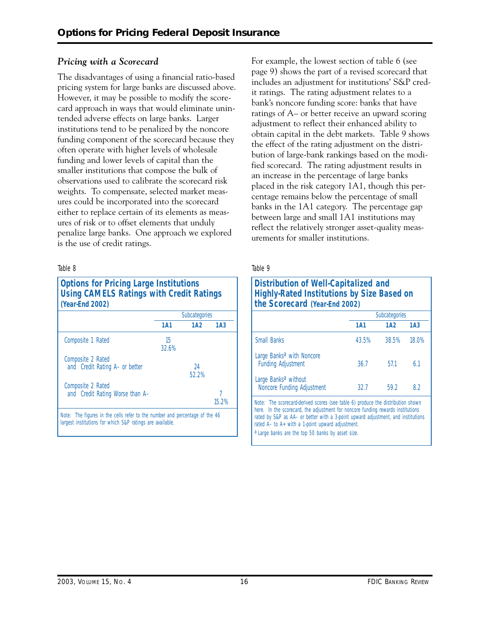#### *Pricing with a Scorecard*

The disadvantages of using a financial ratio-based pricing system for large banks are discussed above. However, it may be possible to modify the scorecard approach in ways that would eliminate unintended adverse effects on large banks. Larger institutions tend to be penalized by the noncore funding component of the scorecard because they often operate with higher levels of wholesale funding and lower levels of capital than the smaller institutions that compose the bulk of observations used to calibrate the scorecard risk weights. To compensate, selected market measures could be incorporated into the scorecard either to replace certain of its elements as measures of risk or to offset elements that unduly penalize large banks. One approach we explored is the use of credit ratings.

#### Table 8

| <b>Options for Pricing Large Institutions</b><br><b>Using CAMELS Ratings with Credit Ratings</b><br>(Year-End 2002) |             |               |                 |  |
|---------------------------------------------------------------------------------------------------------------------|-------------|---------------|-----------------|--|
|                                                                                                                     |             | Subcategories |                 |  |
|                                                                                                                     | 1A1         | 1A2           | 1A <sub>3</sub> |  |
| Composite 1 Rated                                                                                                   | 15<br>32.6% |               |                 |  |
| Composite 2 Rated<br>and Credit Rating A- or better                                                                 |             | 24<br>52.2%   |                 |  |
| Composite 2 Rated<br>and Credit Rating Worse than A-                                                                |             |               | 15.2%           |  |

For example, the lowest section of table 6 (see page 9) shows the part of a revised scorecard that includes an adjustment for institutions' S&P credit ratings. The rating adjustment relates to a bank's noncore funding score: banks that have ratings of A– or better receive an upward scoring adjustment to reflect their enhanced ability to obtain capital in the debt markets. Table 9 shows the effect of the rating adjustment on the distribution of large-bank rankings based on the modified scorecard. The rating adjustment results in an increase in the percentage of large banks placed in the risk category 1A1, though this percentage remains below the percentage of small banks in the 1A1 category. The percentage gap between large and small 1A1 institutions may reflect the relatively stronger asset-quality measurements for smaller institutions.

| Distribution of Well-Capitalized and<br><b>Highly-Rated Institutions by Size Based on</b><br>the Scorecard (Year-End 2002)                                                                                                                                                                                                                                                 |            |               |                 |  |  |  |  |
|----------------------------------------------------------------------------------------------------------------------------------------------------------------------------------------------------------------------------------------------------------------------------------------------------------------------------------------------------------------------------|------------|---------------|-----------------|--|--|--|--|
|                                                                                                                                                                                                                                                                                                                                                                            |            | Subcategories |                 |  |  |  |  |
|                                                                                                                                                                                                                                                                                                                                                                            | <b>1A1</b> | 1A2           | 1A <sub>3</sub> |  |  |  |  |
| <b>Small Banks</b>                                                                                                                                                                                                                                                                                                                                                         | 43.5%      | 38.5%         | 18.0%           |  |  |  |  |
| Large Banks <sup>a</sup> with Noncore<br><b>Funding Adjustment</b>                                                                                                                                                                                                                                                                                                         | 36.7       | 57.1          | 61              |  |  |  |  |
| Large Banks <sup>a</sup> without<br>Noncore Funding Adjustment                                                                                                                                                                                                                                                                                                             | 32.7       | 59.2          | 8.2             |  |  |  |  |
| <i>Note:</i> The scorecard-derived scores (see table 6) produce the distribution shown<br>here. In the scorecard, the adjustment for noncore funding rewards institutions<br>rated by S&P as AA- or better with a 3-point upward adjustment, and institutions<br>rated $A-$ to $A+$ with a 1-point upward adjustment.<br>a Large banks are the top 50 banks by asset size. |            |               |                 |  |  |  |  |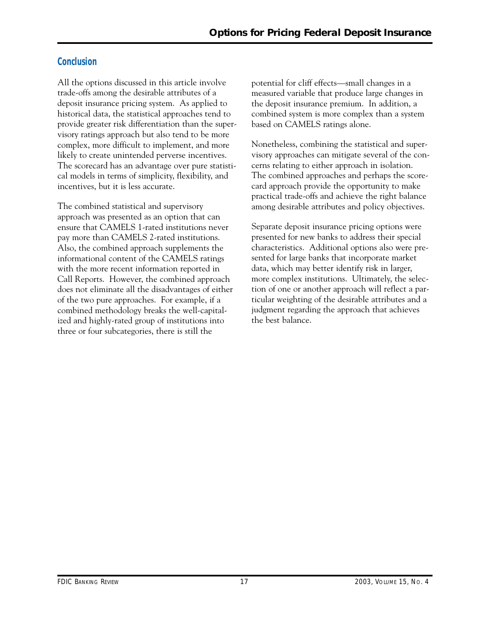## **Conclusion**

All the options discussed in this article involve trade-offs among the desirable attributes of a deposit insurance pricing system. As applied to historical data, the statistical approaches tend to provide greater risk differentiation than the supervisory ratings approach but also tend to be more complex, more difficult to implement, and more likely to create unintended perverse incentives. The scorecard has an advantage over pure statistical models in terms of simplicity, flexibility, and incentives, but it is less accurate.

The combined statistical and supervisory approach was presented as an option that can ensure that CAMELS 1-rated institutions never pay more than CAMELS 2-rated institutions. Also, the combined approach supplements the informational content of the CAMELS ratings with the more recent information reported in Call Reports. However, the combined approach does not eliminate all the disadvantages of either of the two pure approaches. For example, if a combined methodology breaks the well-capitalized and highly-rated group of institutions into three or four subcategories, there is still the

potential for cliff effects—small changes in a measured variable that produce large changes in the deposit insurance premium. In addition, a combined system is more complex than a system based on CAMELS ratings alone.

Nonetheless, combining the statistical and supervisory approaches can mitigate several of the concerns relating to either approach in isolation. The combined approaches and perhaps the scorecard approach provide the opportunity to make practical trade-offs and achieve the right balance among desirable attributes and policy objectives.

Separate deposit insurance pricing options were presented for new banks to address their special characteristics. Additional options also were presented for large banks that incorporate market data, which may better identify risk in larger, more complex institutions. Ultimately, the selection of one or another approach will reflect a particular weighting of the desirable attributes and a judgment regarding the approach that achieves the best balance.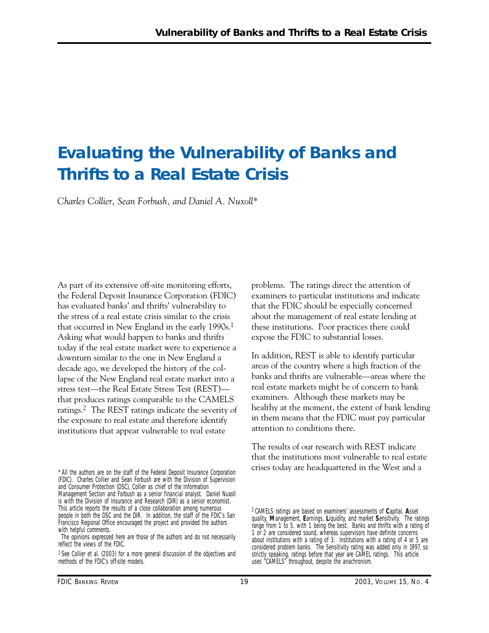## **Evaluating the Vulnerability of Banks and Thrifts to a Real Estate Crisis**

*Charles Collier, Sean Forbush, and Daniel A. Nuxoll\** 

As part of its extensive off-site monitoring efforts, the Federal Deposit Insurance Corporation (FDIC) has evaluated banks' and thrifts' vulnerability to the stress of a real estate crisis similar to the crisis that occurred in New England in the early 1990s.<sup>1</sup> Asking what would happen to banks and thrifts today if the real estate market were to experience a downturn similar to the one in New England a decade ago, we developed the history of the collapse of the New England real estate market into a stress test—the Real Estate Stress Test (REST) that produces ratings comparable to the CAMELS ratings.2 The REST ratings indicate the severity of the exposure to real estate and therefore identify institutions that appear vulnerable to real estate

\* All the authors are on the staff of the Federal Deposit Insurance Corporation (FDIC). Charles Collier and Sean Forbush are with the Division of Supervision and Consumer Protection (DSC), Collier as chief of the Information Management Section and Forbush as a senior financial analyst. Daniel Nuxoll is with the Division of Insurance and Research (DIR) as a senior economist. This article reports the results of a close collaboration among numerous people in both the DSC and the DIR. In addition, the staff of the FDIC's San Francisco Regional Office encouraged the project and provided the authors with helpful comments.

problems. The ratings direct the attention of examiners to particular institutions and indicate that the FDIC should be especially concerned about the management of real estate lending at these institutions. Poor practices there could expose the FDIC to substantial losses.

In addition, REST is able to identify particular areas of the country where a high fraction of the banks and thrifts are vulnerable—areas where the real estate markets might be of concern to bank examiners. Although these markets may be healthy at the moment, the extent of bank lending in them means that the FDIC must pay particular attention to conditions there.

The results of our research with REST indicate that the institutions most vulnerable to real estate crises today are headquartered in the West and a

The opinions expressed here are those of the authors and do not necessarily reflect the views of the FDIC.

<sup>&</sup>lt;sup>1</sup> See Collier et al. (2003) for a more general discussion of the objectives and methods of the FDIC's off-site models.

<sup>2</sup> CAMELS ratings are based on examiners' assessments of **C**apital, **A**sset quality, **M**anagement, **E**arnings, **L**iquidity, and market **S**ensitivity. The ratings range from 1 to 5, with 1 being the best. Banks and thrifts with a rating of 1 or 2 are considered sound, whereas supervisors have definite concerns about institutions with a rating of 3. Institutions with a rating of 4 or 5 are considered problem banks. The Sensitivity rating was added only in 1997, so strictly speaking, ratings before that year are CAMEL ratings. This article uses "CAMELS" throughout, despite the anachronism.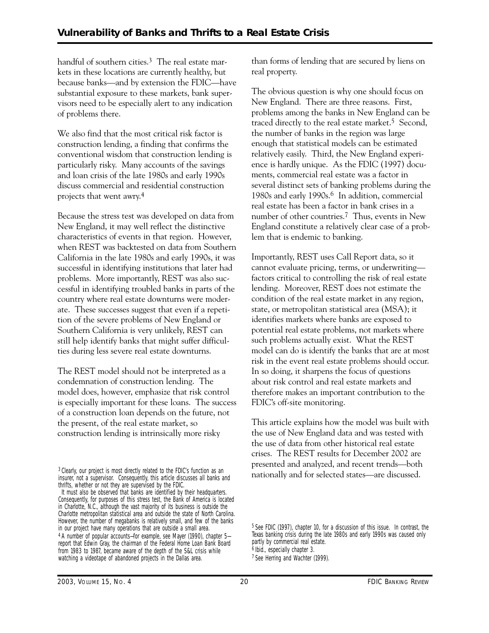handful of southern cities.<sup>3</sup> The real estate markets in these locations are currently healthy, but because banks—and by extension the FDIC—have substantial exposure to these markets, bank supervisors need to be especially alert to any indication of problems there.

 particularly risky. Many accounts of the savings We also find that the most critical risk factor is construction lending, a finding that confirms the conventional wisdom that construction lending is and loan crisis of the late 1980s and early 1990s discuss commercial and residential construction projects that went awry.4

Because the stress test was developed on data from New England, it may well reflect the distinctive characteristics of events in that region. However, when REST was backtested on data from Southern California in the late 1980s and early 1990s, it was successful in identifying institutions that later had problems. More importantly, REST was also successful in identifying troubled banks in parts of the country where real estate downturns were moderate. These successes suggest that even if a repetition of the severe problems of New England or Southern California is very unlikely, REST can still help identify banks that might suffer difficulties during less severe real estate downturns.

The REST model should not be interpreted as a condemnation of construction lending. The model does, however, emphasize that risk control is especially important for these loans. The success of a construction loan depends on the future, not the present, of the real estate market, so construction lending is intrinsically more risky

3 Clearly, our project is most directly related to the FDIC's function as an insurer, not a supervisor. Consequently, this article discusses all banks and thrifts, whether or not they are supervised by the FDIC.

It must also be observed that banks are identified by their headquarters. Consequently, for purposes of this stress test, the Bank of America is located in Charlotte, N.C., although the vast majority of its business is outside the Charlotte metropolitan statistical area and outside the state of North Carolina. However, the number of megabanks is relatively small, and few of the banks in our project have many operations that are outside a small area. 4 A number of popular accounts—for example, see Mayer (1990), chapter 5 report that Edwin Gray, the chairman of the Federal Home Loan Bank Board from 1983 to 1987, became aware of the depth of the S&L crisis while watching a videotape of abandoned projects in the Dallas area.

than forms of lending that are secured by liens on real property.

The obvious question is why one should focus on New England. There are three reasons. First, problems among the banks in New England can be traced directly to the real estate market.<sup>5</sup> Second, the number of banks in the region was large enough that statistical models can be estimated relatively easily. Third, the New England experience is hardly unique. As the FDIC (1997) documents, commercial real estate was a factor in several distinct sets of banking problems during the 1980s and early 1990s.6 In addition, commercial real estate has been a factor in bank crises in a number of other countries.7 Thus, events in New England constitute a relatively clear case of a problem that is endemic to banking.

Importantly, REST uses Call Report data, so it cannot evaluate pricing, terms, or underwriting factors critical to controlling the risk of real estate lending. Moreover, REST does not estimate the condition of the real estate market in any region, state, or metropolitan statistical area (MSA); it identifies markets where banks are exposed to potential real estate problems, not markets where such problems actually exist. What the REST model can do is identify the banks that are at most risk in the event real estate problems should occur. In so doing, it sharpens the focus of questions about risk control and real estate markets and therefore makes an important contribution to the FDIC's off-site monitoring.

This article explains how the model was built with the use of New England data and was tested with the use of data from other historical real estate crises. The REST results for December 2002 are presented and analyzed, and recent trends—both nationally and for selected states—are discussed.

<sup>5</sup> See FDIC (1997), chapter 10, for a discussion of this issue. In contrast, the Texas banking crisis during the late 1980s and early 1990s was caused only partly by commercial real estate. 6 Ibid., especially chapter 3.

<sup>7</sup> See Herring and Wachter (1999).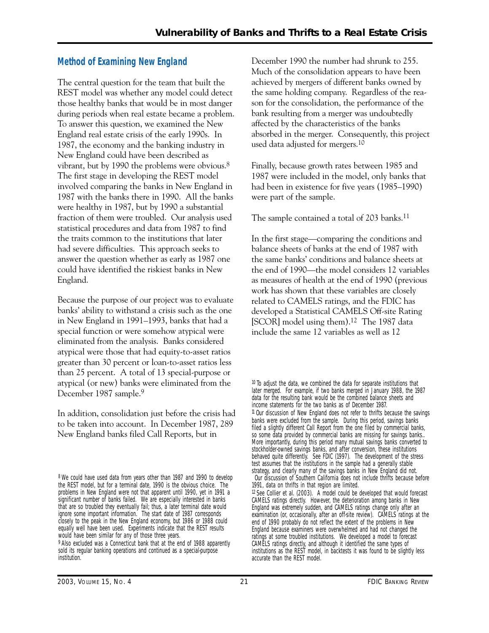## **Method of Examining New England**

The central question for the team that built the REST model was whether any model could detect those healthy banks that would be in most danger during periods when real estate became a problem. To answer this question, we examined the New England real estate crisis of the early 1990s. In 1987, the economy and the banking industry in New England could have been described as vibrant, but by 1990 the problems were obvious.<sup>8</sup> The first stage in developing the REST model involved comparing the banks in New England in 1987 with the banks there in 1990. All the banks were healthy in 1987, but by 1990 a substantial fraction of them were troubled. Our analysis used statistical procedures and data from 1987 to find the traits common to the institutions that later had severe difficulties. This approach seeks to answer the question whether as early as 1987 one could have identified the riskiest banks in New England.

 than 25 percent. A total of 13 special-purpose or Because the purpose of our project was to evaluate banks' ability to withstand a crisis such as the one in New England in 1991–1993, banks that had a special function or were somehow atypical were eliminated from the analysis. Banks considered atypical were those that had equity-to-asset ratios greater than 30 percent or loan-to-asset ratios less atypical (or new) banks were eliminated from the December 1987 sample.9

In addition, consolidation just before the crisis had to be taken into account. In December 1987, 289 New England banks filed Call Reports, but in

December 1990 the number had shrunk to 255. Much of the consolidation appears to have been achieved by mergers of different banks owned by the same holding company. Regardless of the reason for the consolidation, the performance of the bank resulting from a merger was undoubtedly affected by the characteristics of the banks absorbed in the merger. Consequently, this project used data adjusted for mergers.10

Finally, because growth rates between 1985 and 1987 were included in the model, only banks that had been in existence for five years (1985–1990) were part of the sample.

The sample contained a total of 203 banks.<sup>11</sup>

In the first stage—comparing the conditions and balance sheets of banks at the end of 1987 with the same banks' conditions and balance sheets at the end of 1990—the model considers 12 variables as measures of health at the end of 1990 (previous work has shown that these variables are closely related to CAMELS ratings, and the FDIC has developed a Statistical CAMELS Off-site Rating [SCOR] model using them).<sup>12</sup> The 1987 data include the same 12 variables as well as 12

<sup>8</sup> We could have used data from years other than 1987 and 1990 to develop the REST model, but for a terminal date, 1990 is the obvious choice. The problems in New England were not that apparent until 1990, yet in 1991 a significant number of banks failed. We are especially interested in banks that are so troubled they eventually fail; thus, a later terminal date would ignore some important information. The start date of 1987 corresponds closely to the peak in the New England economy, but 1986 or 1988 could equally well have been used. Experiments indicate that the REST results would have been similar for any of those three years.

<sup>9</sup> Also excluded was a Connecticut bank that at the end of 1988 apparently sold its regular banking operations and continued as a special-purpose institution.

<sup>&</sup>lt;sup>10</sup> To adjust the data, we combined the data for separate institutions that later merged. For example, if two banks merged in January 1988, the 1987 data for the resulting bank would be the combined balance sheets and income statements for the two banks as of December 1987. 11 Our discussion of New England does not refer to thrifts because the savings banks were excluded from the sample. During this period, savings banks filed a slightly different Call Report from the one filed by commercial banks, so some data provided by commercial banks are missing for savings banks.. More importantly, during this period many mutual savings banks converted to stockholder-owned savings banks, and after conversion, these institutions behaved quite differently. See FDIC (1997). The development of the stress test assumes that the institutions in the sample had a generally stable strategy, and clearly many of the savings banks in New England did not. Our discussion of Southern California does not include thrifts because before 1991, data on thrifts in that region are limited.

 $12$  See Collier et al. (2003). A model could be developed that would forecast CAMELS ratings directly. However, the deterioration among banks in New England was extremely sudden, and CAMELS ratings change only after an examination (or, occasionally, after an off-site review). CAMELS ratings at the end of 1990 probably do not reflect the extent of the problems in New England because examiners were overwhelmed and had not changed the ratings at some troubled institutions. We developed a model to forecast CAMELS ratings directly, and although it identified the same types of institutions as the REST model, in backtests it was found to be slightly less accurate than the REST model.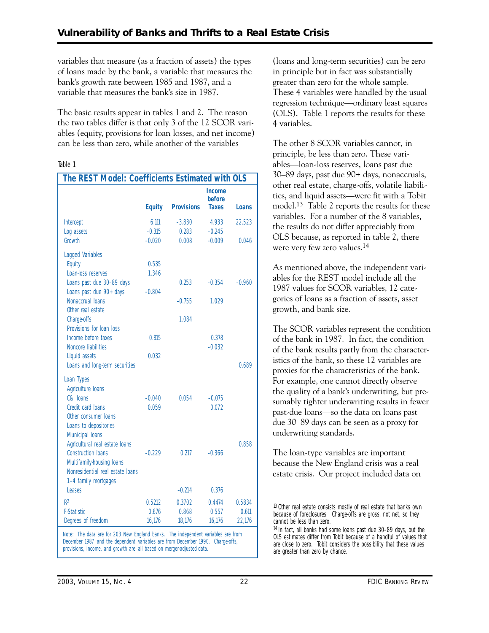variables that measure (as a fraction of assets) the types of loans made by the bank, a variable that measures the bank's growth rate between 1985 and 1987, and a variable that measures the bank's size in 1987.

The basic results appear in tables 1 and 2. The reason the two tables differ is that only 3 of the 12 SCOR variables (equity, provisions for loan losses, and net income) can be less than zero, while another of the variables

#### Table 1

| The REST Model: Coefficients Estimated with OLS |                      |                   |                                         |          |
|-------------------------------------------------|----------------------|-------------------|-----------------------------------------|----------|
|                                                 | <b>Equity</b>        | <b>Provisions</b> | <b>Income</b><br>before<br><b>Taxes</b> | Loans    |
|                                                 |                      |                   |                                         |          |
| Intercept                                       | 6.111                | $-3.830$          | 4.933                                   | 22.523   |
| Log assets<br>Growth                            | $-0.315$<br>$-0.020$ | 0.283<br>0.008    | $-0.245$<br>$-0.009$                    | 0.046    |
|                                                 |                      |                   |                                         |          |
| Lagged Variables                                |                      |                   |                                         |          |
| Equity                                          | 0.535                |                   |                                         |          |
| Loan-loss reserves                              | 1.346                |                   |                                         |          |
| Loans past due 30-89 days                       |                      | 0.253             | $-0.354$                                | $-0.960$ |
| Loans past due 90+ days                         | $-0.804$             |                   |                                         |          |
| Nonaccrual loans                                |                      | $-0.755$          | 1.029                                   |          |
| Other real estate                               |                      | 1.084             |                                         |          |
| Charge-offs<br>Provisions for loan loss         |                      |                   |                                         |          |
| Income before taxes                             | 0.815                |                   | 0.378                                   |          |
| Noncore liabilities                             |                      |                   | $-0.032$                                |          |
| Liquid assets                                   | 0.032                |                   |                                         |          |
| Loans and long-term securities                  |                      |                   |                                         | 0.689    |
|                                                 |                      |                   |                                         |          |
| Loan Types                                      |                      |                   |                                         |          |
| Agriculture loans<br>C&I Ioans                  |                      | 0.054             |                                         |          |
| Credit card loans                               | $-0.040$<br>0.059    |                   | $-0.075$<br>0.072                       |          |
| Other consumer loans                            |                      |                   |                                         |          |
| Loans to depositories                           |                      |                   |                                         |          |
| Municipal loans                                 |                      |                   |                                         |          |
| Agricultural real estate loans                  |                      |                   |                                         | 0.858    |
| <b>Construction loans</b>                       | $-0.229$             | 0.217             | $-0.366$                                |          |
| Multifamily-housing loans                       |                      |                   |                                         |          |
| Nonresidential real estate loans                |                      |                   |                                         |          |
| 1-4 family mortgages                            |                      |                   |                                         |          |
| Leases                                          |                      | $-0.214$          | 0.376                                   |          |
| R <sup>2</sup>                                  | 0.5212               | 0.3702            | 0.4474                                  | 0.5834   |
| <b>F-Statistic</b>                              | 0.676                | 0.868             | 0.557                                   | 0.611    |
| Degrees of freedom                              | 16,176               | 18,176            | 16,176                                  | 22,176   |
|                                                 |                      |                   |                                         |          |

*Note:* The data are for 203 New England banks. The independent variables are from December 1987 and the dependent variables are from December 1990. Charge-offs, provisions, income, and growth are all based on merger-adjusted data.

(loans and long-term securities) can be zero in principle but in fact was substantially greater than zero for the whole sample. These 4 variables were handled by the usual regression technique—ordinary least squares (OLS). Table 1 reports the results for these 4 variables.

The other 8 SCOR variables cannot, in principle, be less than zero. These variables—loan-loss reserves, loans past due 30–89 days, past due 90+ days, nonaccruals, other real estate, charge-offs, volatile liabilities, and liquid assets—were fit with a Tobit model.13 Table 2 reports the results for these variables. For a number of the 8 variables, the results do not differ appreciably from OLS because, as reported in table 2, there were very few zero values.14

As mentioned above, the independent variables for the REST model include all the 1987 values for SCOR variables, 12 categories of loans as a fraction of assets, asset growth, and bank size.

The SCOR variables represent the condition of the bank in 1987. In fact, the condition of the bank results partly from the characteristics of the bank, so these 12 variables are proxies for the characteristics of the bank. For example, one cannot directly observe the quality of a bank's underwriting, but presumably tighter underwriting results in fewer past-due loans—so the data on loans past due 30–89 days can be seen as a proxy for underwriting standards.

The loan-type variables are important because the New England crisis was a real estate crisis. Our project included data on

<sup>&</sup>lt;sup>13</sup> Other real estate consists mostly of real estate that banks own because of foreclosures. Charge-offs are gross, not net, so they cannot be less than zero.

 are close to zero. Tobit considers the possibility that these values 14 In fact, all banks had some loans past due 30–89 days, but the OLS estimates differ from Tobit because of a handful of values that are greater than zero by chance.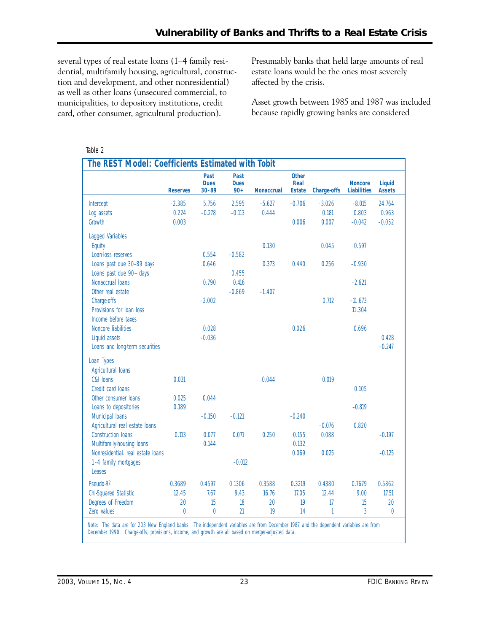several types of real estate loans (1–4 family residential, multifamily housing, agricultural, construction and development, and other nonresidential) as well as other loans (unsecured commercial, to municipalities, to depository institutions, credit card, other consumer, agricultural production).

Presumably banks that held large amounts of real estate loans would be the ones most severely affected by the crisis.

Asset growth between 1985 and 1987 was included because rapidly growing banks are considered

#### Table 2

| The REST Model: Coefficients Estimated with Tobit |                 |                                  |                              |                   |                                       |                    |                                      |                         |
|---------------------------------------------------|-----------------|----------------------------------|------------------------------|-------------------|---------------------------------------|--------------------|--------------------------------------|-------------------------|
|                                                   | <b>Reserves</b> | Past<br><b>Dues</b><br>$30 - 89$ | Past<br><b>Dues</b><br>$90+$ | <b>Nonaccrual</b> | <b>Other</b><br>Real<br><b>Estate</b> | <b>Charge-offs</b> | <b>Noncore</b><br><b>Liabilities</b> | Liquid<br><b>Assets</b> |
| Intercept                                         | $-2.385$        | 5.756                            | 2.595                        | $-5.627$          | $-0.706$                              | $-3.026$           | $-8.015$                             | 24.764                  |
| Log assets                                        | 0.224           | $-0.278$                         | $-0.113$                     | 0.444             |                                       | 0.181              | 0.803                                | 0.963                   |
| Growth                                            | 0.003           |                                  |                              |                   | 0.006                                 | 0.007              | $-0.042$                             | $-0.052$                |
| Lagged Variables                                  |                 |                                  |                              |                   |                                       |                    |                                      |                         |
| Equity                                            |                 |                                  |                              | 0.130             |                                       | 0.045              | 0.597                                |                         |
| Loan-loss reserves                                |                 | 0.554                            | $-0.582$                     |                   |                                       |                    |                                      |                         |
| Loans past due 30-89 days                         |                 | 0.646                            |                              | 0.373             | 0.440                                 | 0.256              | $-0.930$                             |                         |
| Loans past due 90+ days                           |                 |                                  | 0.455                        |                   |                                       |                    |                                      |                         |
| Nonaccrual loans                                  |                 | 0.790                            | 0.416                        |                   |                                       |                    | $-2.621$                             |                         |
| Other real estate                                 |                 |                                  | $-0.869$                     | $-1.407$          |                                       |                    |                                      |                         |
| Charge-offs                                       |                 | $-2.002$                         |                              |                   |                                       | 0.712              | $-11.673$                            |                         |
| Provisions for loan loss                          |                 |                                  |                              |                   |                                       |                    | 11.304                               |                         |
| Income before taxes                               |                 |                                  |                              |                   |                                       |                    |                                      |                         |
| Noncore liabilities                               |                 | 0.028                            |                              |                   | 0.026                                 |                    | 0.696                                |                         |
| Liquid assets                                     |                 | $-0.036$                         |                              |                   |                                       |                    |                                      | 0.428                   |
| Loans and long-term securities                    |                 |                                  |                              |                   |                                       |                    |                                      | $-0.247$                |
| Loan Types                                        |                 |                                  |                              |                   |                                       |                    |                                      |                         |
| Agricultural loans                                |                 |                                  |                              |                   |                                       |                    |                                      |                         |
| C&I loans                                         | 0.031           |                                  |                              | 0.044             |                                       | 0.019              |                                      |                         |
| Credit card loans                                 |                 |                                  |                              |                   |                                       |                    | 0.105                                |                         |
| Other consumer loans                              | 0.025           | 0.044                            |                              |                   |                                       |                    |                                      |                         |
| Loans to depositories                             | 0.189           |                                  |                              |                   |                                       |                    | $-0.819$                             |                         |
| Municipal loans                                   |                 | $-0.150$                         | $-0.121$                     |                   | $-0.240$                              |                    |                                      |                         |
| Agricultural real estate loans                    |                 |                                  |                              |                   |                                       | $-0.076$           | 0.820                                |                         |
| <b>Construction loans</b>                         | 0.113           | 0.077                            | 0.071                        | 0.250             | 0.155                                 | 0.088              |                                      | $-0.197$                |
| Multifamily-housing loans                         |                 | 0.144                            |                              |                   | 0.132                                 |                    |                                      |                         |
| Nonresidential, real estate loans                 |                 |                                  |                              |                   | 0.069                                 | 0.025              |                                      | $-0.125$                |
| 1-4 family mortgages                              |                 |                                  | $-0.012$                     |                   |                                       |                    |                                      |                         |
| Leases                                            |                 |                                  |                              |                   |                                       |                    |                                      |                         |
| Pseudo-R <sup>2</sup>                             | 0.3689          | 0.4597                           | 0.1306                       | 0.3588            | 0.3219                                | 0.4380             | 0.7679                               | 0.5862                  |
| <b>Chi-Squared Statistic</b>                      | 12.45           | 7.67                             | 9.43                         | 16.76             | 17.05                                 | 12.44              | 9.00                                 | 17.51                   |
| Degrees of Freedom                                | 20              | 15                               | 18                           | 20                | 19                                    | 17                 | 15                                   | 20                      |
| Zero values                                       | $\overline{0}$  | $\overline{0}$                   | 21                           | 19                | 14                                    | 1                  | 3                                    | $\overline{0}$          |

*Note:* The data are for 203 New England banks. The independent variables are from December 1987 and the dependent variables are from December 1990. Charge-offs, provisions, income, and growth are all based on merger-adjusted data.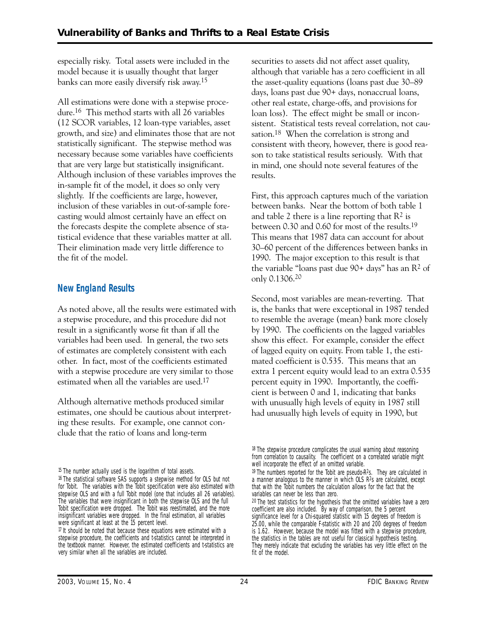especially risky. Total assets were included in the model because it is usually thought that larger banks can more easily diversify risk away.15

All estimations were done with a stepwise procedure.16 This method starts with all 26 variables (12 SCOR variables, 12 loan-type variables, asset growth, and size) and eliminates those that are not statistically significant. The stepwise method was necessary because some variables have coefficients that are very large but statistically insignificant. Although inclusion of these variables improves the in-sample fit of the model, it does so only very slightly. If the coefficients are large, however, inclusion of these variables in out-of-sample forecasting would almost certainly have an effect on the forecasts despite the complete absence of statistical evidence that these variables matter at all. Their elimination made very little difference to the fit of the model.

## **New England Results**

As noted above, all the results were estimated with a stepwise procedure, and this procedure did not result in a significantly worse fit than if all the variables had been used. In general, the two sets of estimates are completely consistent with each other. In fact, most of the coefficients estimated with a stepwise procedure are very similar to those estimated when all the variables are used.17

Although alternative methods produced similar estimates, one should be cautious about interpreting these results. For example, one cannot conclude that the ratio of loans and long-term

securities to assets did not affect asset quality, although that variable has a zero coefficient in all the asset-quality equations (loans past due 30–89 days, loans past due 90+ days, nonaccrual loans, other real estate, charge-offs, and provisions for loan loss). The effect might be small or inconsistent. Statistical tests reveal correlation, not causation.<sup>18</sup> When the correlation is strong and consistent with theory, however, there is good reason to take statistical results seriously. With that in mind, one should note several features of the results.

First, this approach captures much of the variation between banks. Near the bottom of both table 1 and table 2 there is a line reporting that  $\mathbb{R}^2$  is between 0.30 and 0.60 for most of the results.19 This means that 1987 data can account for about 30–60 percent of the differences between banks in 1990. The major exception to this result is that the variable "loans past due  $90+$  days" has an  $R^2$  of only 0.1306.20

Second, most variables are mean-reverting. That is, the banks that were exceptional in 1987 tended to resemble the average (mean) bank more closely by 1990. The coefficients on the lagged variables show this effect. For example, consider the effect of lagged equity on equity. From table 1, the estimated coefficient is 0.535. This means that an extra 1 percent equity would lead to an extra 0.535 percent equity in 1990. Importantly, the coefficient is between 0 and 1, indicating that banks with unusually high levels of equity in 1987 still had unusually high levels of equity in 1990, but

<sup>&</sup>lt;sup>15</sup> The number actually used is the logarithm of total assets.

<sup>16</sup> The statistical software SAS supports a stepwise method for OLS but not for Tobit. The variables with the Tobit specification were also estimated with stepwise OLS and with a full Tobit model (one that includes all 26 variables). The variables that were insignificant in both the stepwise OLS and the full Tobit specification were dropped. The Tobit was reestimated, and the more insignificant variables were dropped. In the final estimation, all variables were significant at least at the 15 percent level.

 $\eta$  It should be noted that because these equations were estimated with a stepwise procedure, the coefficients and t-statistics cannot be interpreted in the textbook manner. However, the estimated coefficients and t-statistics are very similar when all the variables are included.

<sup>18</sup> The stepwise procedure complicates the usual warning about reasoning from correlation to causality. The coefficient on a correlated variable might well incorporate the effect of an omitted variable.

 $19$  The numbers reported for the Tobit are pseudo-R<sup>2</sup>s. They are calculated in a manner analogous to the manner in which OLS R2s are calculated, except that with the Tobit numbers the calculation allows for the fact that the variables can never be less than zero.

<sup>&</sup>lt;sup>20</sup> The test statistics for the hypothesis that the omitted variables have a zero coefficient are also included. By way of comparison, the 5 percent significance level for a Chi-squared statistic with 15 degrees of freedom is 25.00, while the comparable F-statistic with 20 and 200 degrees of freedom is 1.62. However, because the model was fitted with a stepwise procedure, the statistics in the tables are not useful for classical hypothesis testing. They merely indicate that excluding the variables has very little effect on the fit of the model.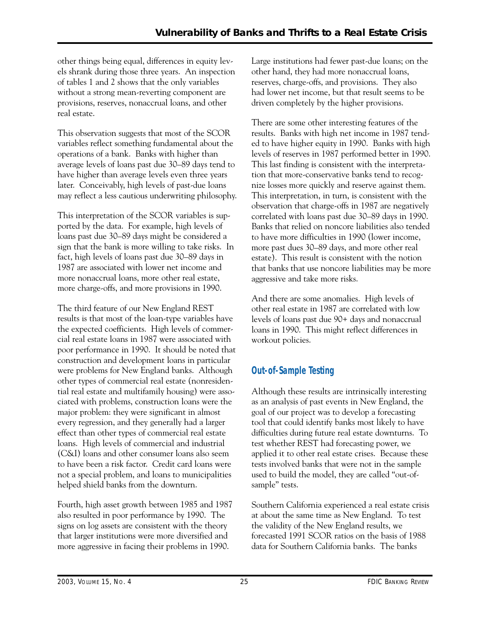other things being equal, differences in equity levels shrank during those three years. An inspection of tables 1 and 2 shows that the only variables without a strong mean-reverting component are provisions, reserves, nonaccrual loans, and other real estate.

This observation suggests that most of the SCOR variables reflect something fundamental about the operations of a bank. Banks with higher than average levels of loans past due 30–89 days tend to have higher than average levels even three years later. Conceivably, high levels of past-due loans may reflect a less cautious underwriting philosophy.

This interpretation of the SCOR variables is supported by the data. For example, high levels of loans past due 30–89 days might be considered a sign that the bank is more willing to take risks. In fact, high levels of loans past due 30–89 days in 1987 are associated with lower net income and more nonaccrual loans, more other real estate, more charge-offs, and more provisions in 1990.

The third feature of our New England REST results is that most of the loan-type variables have the expected coefficients. High levels of commercial real estate loans in 1987 were associated with poor performance in 1990. It should be noted that construction and development loans in particular were problems for New England banks. Although other types of commercial real estate (nonresidential real estate and multifamily housing) were associated with problems, construction loans were the major problem: they were significant in almost every regression, and they generally had a larger effect than other types of commercial real estate loans. High levels of commercial and industrial (C&I) loans and other consumer loans also seem to have been a risk factor. Credit card loans were not a special problem, and loans to municipalities helped shield banks from the downturn.

Fourth, high asset growth between 1985 and 1987 also resulted in poor performance by 1990. The signs on log assets are consistent with the theory that larger institutions were more diversified and more aggressive in facing their problems in 1990.

Large institutions had fewer past-due loans; on the other hand, they had more nonaccrual loans, reserves, charge-offs, and provisions. They also had lower net income, but that result seems to be driven completely by the higher provisions.

There are some other interesting features of the results. Banks with high net income in 1987 tended to have higher equity in 1990. Banks with high levels of reserves in 1987 performed better in 1990. This last finding is consistent with the interpretation that more-conservative banks tend to recognize losses more quickly and reserve against them. This interpretation, in turn, is consistent with the observation that charge-offs in 1987 are negatively correlated with loans past due 30–89 days in 1990. Banks that relied on noncore liabilities also tended to have more difficulties in 1990 (lower income, more past dues 30–89 days, and more other real estate). This result is consistent with the notion that banks that use noncore liabilities may be more aggressive and take more risks.

And there are some anomalies. High levels of other real estate in 1987 are correlated with low levels of loans past due 90+ days and nonaccrual loans in 1990. This might reflect differences in workout policies.

## **Out-of-Sample Testing**

Although these results are intrinsically interesting as an analysis of past events in New England, the goal of our project was to develop a forecasting tool that could identify banks most likely to have difficulties during future real estate downturns. To test whether REST had forecasting power, we applied it to other real estate crises. Because these tests involved banks that were not in the sample used to build the model, they are called "out-ofsample" tests.

Southern California experienced a real estate crisis at about the same time as New England. To test the validity of the New England results, we forecasted 1991 SCOR ratios on the basis of 1988 data for Southern California banks. The banks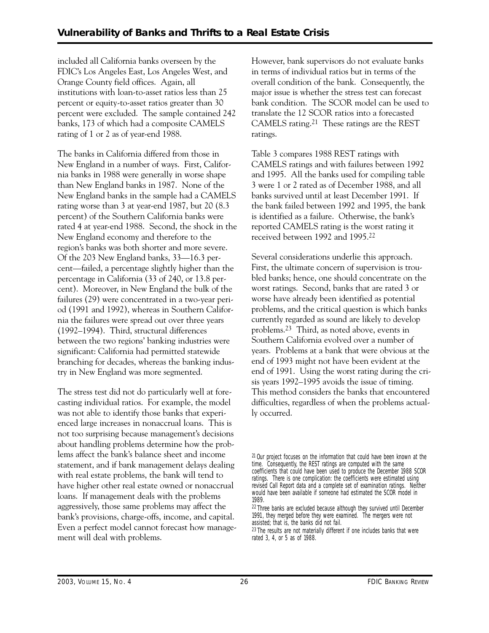included all California banks overseen by the FDIC's Los Angeles East, Los Angeles West, and Orange County field offices. Again, all institutions with loan-to-asset ratios less than 25 percent or equity-to-asset ratios greater than 30 percent were excluded. The sample contained 242 banks, 173 of which had a composite CAMELS rating of 1 or 2 as of year-end 1988.

The banks in California differed from those in New England in a number of ways. First, California banks in 1988 were generally in worse shape than New England banks in 1987. None of the New England banks in the sample had a CAMELS rating worse than 3 at year-end 1987, but 20 (8.3 percent) of the Southern California banks were rated 4 at year-end 1988. Second, the shock in the New England economy and therefore to the region's banks was both shorter and more severe. Of the 203 New England banks, 33—16.3 percent—failed, a percentage slightly higher than the percentage in California (33 of 240, or 13.8 percent). Moreover, in New England the bulk of the failures (29) were concentrated in a two-year period (1991 and 1992), whereas in Southern California the failures were spread out over three years (1992–1994). Third, structural differences between the two regions' banking industries were significant: California had permitted statewide branching for decades, whereas the banking industry in New England was more segmented.

The stress test did not do particularly well at forecasting individual ratios. For example, the model was not able to identify those banks that experienced large increases in nonaccrual loans. This is not too surprising because management's decisions about handling problems determine how the problems affect the bank's balance sheet and income statement, and if bank management delays dealing with real estate problems, the bank will tend to have higher other real estate owned or nonaccrual loans. If management deals with the problems aggressively, those same problems may affect the bank's provisions, charge-offs, income, and capital. Even a perfect model cannot forecast how management will deal with problems.

However, bank supervisors do not evaluate banks in terms of individual ratios but in terms of the overall condition of the bank. Consequently, the major issue is whether the stress test can forecast bank condition. The SCOR model can be used to translate the 12 SCOR ratios into a forecasted CAMELS rating.21 These ratings are the REST ratings.

Table 3 compares 1988 REST ratings with CAMELS ratings and with failures between 1992 and 1995. All the banks used for compiling table 3 were 1 or 2 rated as of December 1988, and all banks survived until at least December 1991. If the bank failed between 1992 and 1995, the bank is identified as a failure. Otherwise, the bank's reported CAMELS rating is the worst rating it received between 1992 and 1995.22

Several considerations underlie this approach. First, the ultimate concern of supervision is troubled banks; hence, one should concentrate on the worst ratings. Second, banks that are rated 3 or worse have already been identified as potential problems, and the critical question is which banks currently regarded as sound are likely to develop problems.23 Third, as noted above, events in Southern California evolved over a number of years. Problems at a bank that were obvious at the end of 1993 might not have been evident at the end of 1991. Using the worst rating during the crisis years 1992–1995 avoids the issue of timing. This method considers the banks that encountered difficulties, regardless of when the problems actually occurred.

<sup>21</sup> Our project focuses on the information that could have been known at the time. Consequently, the REST ratings are computed with the same coefficients that could have been used to produce the December 1988 SCOR ratings. There is one complication: the coefficients were estimated using revised Call Report data and a complete set of examination ratings. Neither would have been available if someone had estimated the SCOR model in 1989.

<sup>22</sup> Three banks are excluded because although they survived until December 1991, they merged before they were examined. The mergers were not assisted; that is, the banks did not fail.

<sup>&</sup>lt;sup>23</sup> The results are not materially different if one includes banks that were rated 3, 4, or 5 as of 1988.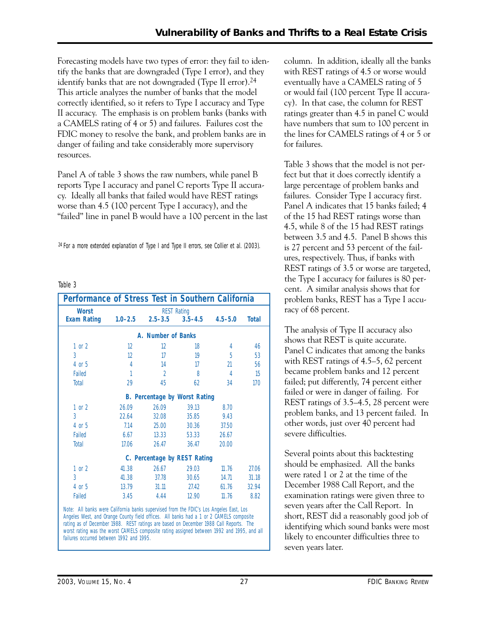Forecasting models have two types of error: they fail to identify the banks that are downgraded (Type I error), and they identify banks that are not downgraded (Type II error).24 This article analyzes the number of banks that the model correctly identified, so it refers to Type I accuracy and Type II accuracy. The emphasis is on problem banks (banks with a CAMELS rating of 4 or 5) and failures. Failures cost the FDIC money to resolve the bank, and problem banks are in danger of failing and take considerably more supervisory resources.

Panel A of table 3 shows the raw numbers, while panel B reports Type I accuracy and panel C reports Type II accuracy. Ideally all banks that failed would have REST ratings worse than 4.5 (100 percent Type I accuracy), and the "failed" line in panel B would have a 100 percent in the last

<sup>24</sup> For a more extended explanation of Type I and Type II errors, see Collier et al. (2003).

#### Table 3

|              | <b>Worst</b><br><b>REST Rating</b> |             |                                      |             |                    |  |  |  |  |
|--------------|------------------------------------|-------------|--------------------------------------|-------------|--------------------|--|--|--|--|
| <b>Total</b> | $4.5 - 5.0$                        | $3.5 - 4.5$ | $2.5 - 3.5$                          | $1.0 - 2.5$ | <b>Exam Rating</b> |  |  |  |  |
|              |                                    |             | A. Number of Banks                   |             |                    |  |  |  |  |
|              |                                    |             |                                      |             |                    |  |  |  |  |
| 46           | 4                                  | 18          | $12 \,$                              | 12          | $1$ or $2$         |  |  |  |  |
| 53           | 5                                  | 19          | 17                                   | 12          | $\overline{3}$     |  |  |  |  |
| 56           | $\mathfrak{N}$                     | 17          | 14                                   | 4           | 4 or 5             |  |  |  |  |
| 15           | $\overline{4}$                     | 8           | $\mathfrak{D}$                       |             | Failed             |  |  |  |  |
| 170          | 34                                 | 62          | 45                                   | 29          | Total              |  |  |  |  |
|              |                                    |             | <b>B.</b> Percentage by Worst Rating |             |                    |  |  |  |  |
|              | 8.70                               | 39.13       | 26.09                                | 26.09       | $1$ or $2$         |  |  |  |  |
|              | 9.43                               | 35.85       | 32.08                                | 22.64       | $\overline{3}$     |  |  |  |  |
|              | 37.50                              | 30.36       | 25.00                                | 7.14        | 4 or 5             |  |  |  |  |
|              |                                    |             |                                      |             |                    |  |  |  |  |
|              | 26.67                              | 53.33       | 13.33                                | 6.67        | Failed             |  |  |  |  |
|              | 20.00                              | 36.47       | 26.47                                | 17.06       | Total              |  |  |  |  |
|              |                                    |             | C. Percentage by REST Rating         |             |                    |  |  |  |  |
| 27.06        | 11.76                              | 29.03       | 26.67                                | 41.38       | 1 or 2             |  |  |  |  |
| 31.18        | 14.71                              | 30.65       | 37.78                                | 41.38       | $\overline{3}$     |  |  |  |  |
| 32.94        | 61.76                              | 27.42       | 31.11                                | 13.79       | 4 or 5             |  |  |  |  |
| 8.82         | 11.76                              | 12.90       | 4.44                                 | 3.45        | Failed             |  |  |  |  |

Angeles West, and Orange County field offices. All banks had a 1 or 2 CAMELS composite rating as of December 1988. REST ratings are based on December 1988 Call Reports. The worst rating was the worst CAMELS composite rating assigned between 1992 and 1995, and all failures occurred between 1992 and 1995.

column. In addition, ideally all the banks with REST ratings of 4.5 or worse would eventually have a CAMELS rating of 5 or would fail (100 percent Type II accuracy). In that case, the column for REST ratings greater than 4.5 in panel C would have numbers that sum to 100 percent in the lines for CAMELS ratings of 4 or 5 or for failures.

 cent. A similar analysis shows that for Table 3 shows that the model is not perfect but that it does correctly identify a large percentage of problem banks and failures. Consider Type I accuracy first. Panel A indicates that 15 banks failed; 4 of the 15 had REST ratings worse than 4.5, while 8 of the 15 had REST ratings between 3.5 and 4.5. Panel B shows this is 27 percent and 53 percent of the failures, respectively. Thus, if banks with REST ratings of 3.5 or worse are targeted, the Type I accuracy for failures is 80 perproblem banks, REST has a Type I accuracy of 68 percent.

The analysis of Type II accuracy also shows that REST is quite accurate. Panel C indicates that among the banks with REST ratings of 4.5–5, 62 percent became problem banks and 12 percent failed; put differently, 74 percent either failed or were in danger of failing. For REST ratings of 3.5–4.5, 28 percent were problem banks, and 13 percent failed. In other words, just over 40 percent had severe difficulties.

Several points about this backtesting should be emphasized. All the banks were rated 1 or 2 at the time of the December 1988 Call Report, and the examination ratings were given three to seven years after the Call Report. In short, REST did a reasonably good job of identifying which sound banks were most likely to encounter difficulties three to seven years later.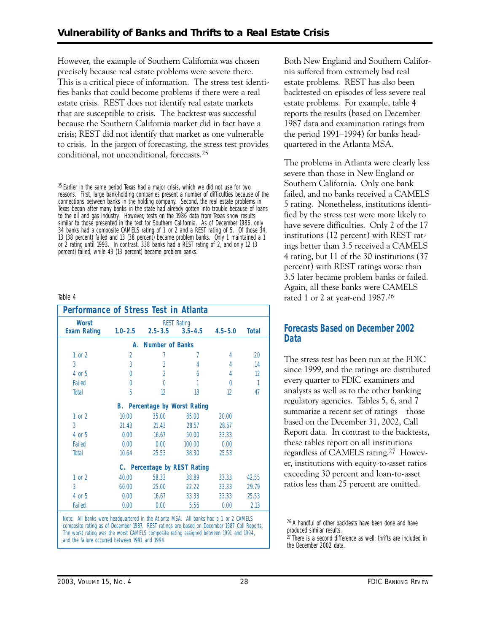However, the example of Southern California was chosen precisely because real estate problems were severe there. This is a critical piece of information. The stress test identifies banks that could become problems if there were a real estate crisis. REST does not identify real estate markets that are susceptible to crisis. The backtest was successful because the Southern California market did in fact have a crisis; REST did not identify that market as one vulnerable to crisis. In the jargon of forecasting, the stress test provides conditional, not unconditional, forecasts.25

 $25$  Earlier in the same period Texas had a major crisis, which we did not use for two reasons. First, large bank-holding companies present a number of difficulties because of the connections between banks in the holding company. Second, the real estate problems in Texas began after many banks in the state had already gotten into trouble because of loans to the oil and gas industry. However, tests on the 1986 data from Texas show results similar to those presented in the text for Southern California. As of December 1986, only 34 banks had a composite CAMELS rating of 1 or 2 and a REST rating of 5. Of those 34, 13 (38 percent) failed and 13 (38 percent) became problem banks. Only 1 maintained a 1 or 2 rating until 1993. In contrast, 338 banks had a REST rating of 2, and only 12 (3 percent) failed, while 43 (13 percent) became problem banks.

#### Table 4

| <b>Worst</b>       |                |                              | <b>REST Rating</b> |             |              |
|--------------------|----------------|------------------------------|--------------------|-------------|--------------|
| <b>Exam Rating</b> | $1.0 - 2.5$    | $2.5 - 3.5$                  | $3.5 - 4.5$        | $4.5 - 5.0$ | <b>Total</b> |
|                    | А.             | <b>Number of Banks</b>       |                    |             |              |
| $1$ or $2$         | $\overline{2}$ |                              |                    | 4           | 20           |
| 3                  | 3              | 3                            | 4                  | 4           | 14           |
| 4 or 5             | O              | $\mathfrak{D}$               | 6                  | 4           | 12           |
| Failed             | 0              | $\Omega$                     |                    | 0           | 1            |
| Total              | 5              | 12                           | 18                 | 12          | 47           |
|                    | <b>B.</b>      | Percentage by Worst Rating   |                    |             |              |
| $1$ or $2$         | 10.00          | 35.00                        | 35.00              | 20.00       |              |
| 3                  | 21.43          | 21.43                        | 28.57              | 28.57       |              |
| 4 or 5             | 0.00           | 16.67                        | 50.00              | 33.33       |              |
| Failed             | 0.00           | 0.00                         | 100.00             | 0.00        |              |
| Total              | 10.64          | 25.53                        | 38.30              | 25.53       |              |
|                    |                | C. Percentage by REST Rating |                    |             |              |
| $1$ or $2$         | 40.00          | 58.33                        | 38.89              | 33.33       | 42.55        |
| 3                  | 60.00          | 25.00                        | 22.22              | 33.33       | 29.79        |
| 4 or 5             | 0.00           | 16.67                        | 33.33              | 33.33       | 25.53        |
| Failed             | 0.00           | 0.00                         | 5.56               | 0.00        | 2.13         |

composite rating as of December 1987. REST ratings are based on December 1987 Call Reports. The worst rating was the worst CAMELS composite rating assigned between 1991 and 1994, and the failure occurred between 1991 and 1994.

Both New England and Southern California suffered from extremely bad real estate problems. REST has also been backtested on episodes of less severe real estate problems. For example, table 4 reports the results (based on December 1987 data and examination ratings from the period 1991–1994) for banks headquartered in the Atlanta MSA.

The problems in Atlanta were clearly less severe than those in New England or Southern California. Only one bank failed, and no banks received a CAMELS 5 rating. Nonetheless, institutions identified by the stress test were more likely to have severe difficulties. Only 2 of the 17 institutions (12 percent) with REST ratings better than 3.5 received a CAMELS 4 rating, but 11 of the 30 institutions (37 percent) with REST ratings worse than 3.5 later became problem banks or failed. Again, all these banks were CAMELS rated 1 or 2 at year-end 1987.26

#### **Forecasts Based on December 2002 Data**

The stress test has been run at the FDIC since 1999, and the ratings are distributed every quarter to FDIC examiners and analysts as well as to the other banking regulatory agencies. Tables 5, 6, and 7 summarize a recent set of ratings—those based on the December 31, 2002, Call Report data. In contrast to the backtests, these tables report on all institutions regardless of CAMELS rating.27 However, institutions with equity-to-asset ratios exceeding 30 percent and loan-to-asset ratios less than 25 percent are omitted.

26 A handful of other backtests have been done and have produced similar results.

 $27$  There is a second difference as well: thrifts are included in the December 2002 data.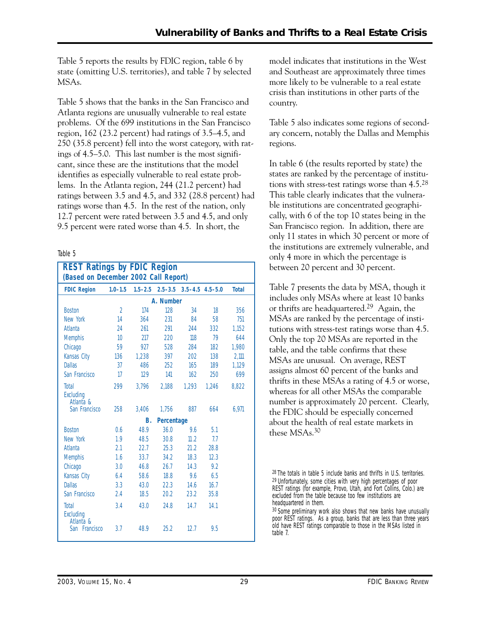Table 5 reports the results by FDIC region, table 6 by state (omitting U.S. territories), and table 7 by selected MSAs.

Table 5 shows that the banks in the San Francisco and Atlanta regions are unusually vulnerable to real estate problems. Of the 699 institutions in the San Francisco region, 162 (23.2 percent) had ratings of 3.5–4.5, and 250 (35.8 percent) fell into the worst category, with ratings of 4.5–5.0. This last number is the most significant, since these are the institutions that the model identifies as especially vulnerable to real estate problems. In the Atlanta region, 244 (21.2 percent) had ratings between 3.5 and 4.5, and 332 (28.8 percent) had ratings worse than 4.5. In the rest of the nation, only 12.7 percent were rated between 3.5 and 4.5, and only 9.5 percent were rated worse than 4.5. In short, the

#### Table 5

| <b>REST Ratings by FDIC Region</b><br>(Based on December 2002 Call Report) |                |             |             |       |                         |              |  |  |  |  |
|----------------------------------------------------------------------------|----------------|-------------|-------------|-------|-------------------------|--------------|--|--|--|--|
| <b>FDIC Region</b>                                                         | $1.0 - 1.5$    | $1.5 - 2.5$ | $2.5 - 3.5$ |       | $3.5 - 4.5$ $4.5 - 5.0$ | <b>Total</b> |  |  |  |  |
|                                                                            | A. Number      |             |             |       |                         |              |  |  |  |  |
| <b>Boston</b>                                                              | $\mathfrak{D}$ | 174         | 128         | 34    | 18                      | 356          |  |  |  |  |
| New York                                                                   | 14             | 364         | 231         | 84    | 58                      | 751          |  |  |  |  |
| Atlanta                                                                    | 24             | 261         | 291         | 244   | 332                     | 1,152        |  |  |  |  |
| <b>Memphis</b>                                                             | 10             | 217         | 220         | 118   | 79                      | 644          |  |  |  |  |
| Chicago                                                                    | 59             | 927         | 528         | 284   | 182                     | 1.980        |  |  |  |  |
| Kansas City                                                                | 136            | 1.238       | 397         | 202   | 138                     | 2,111        |  |  |  |  |
| <b>Dallas</b>                                                              | 37             | 486         | 252         | 165   | 189                     | 1.129        |  |  |  |  |
| San Francisco                                                              | 17             | 129         | 141         | 162   | 250                     | 699          |  |  |  |  |
| Total<br>Excluding<br>Atlanta &                                            | 299            | 3,796       | 2,188       | 1.293 | 1.246                   | 8.822        |  |  |  |  |
| San Francisco                                                              | 258            | 3.406       | 1,756       | 887   | 664                     | 6,971        |  |  |  |  |
|                                                                            |                | B.          | Percentage  |       |                         |              |  |  |  |  |
| <b>Boston</b>                                                              | 0.6            | 48.9        | 36.0        | 9.6   | 5.1                     |              |  |  |  |  |
| New York                                                                   | 1.9            | 48.5        | 30.8        | 11.2  | 77                      |              |  |  |  |  |
| Atlanta                                                                    | 2.1            | 22.7        | 25.3        | 21.2  | 28.8                    |              |  |  |  |  |
| <b>Memphis</b>                                                             | 1.6            | 33.7        | 34.2        | 18.3  | 12.3                    |              |  |  |  |  |
| Chicago                                                                    | 3.0            | 46.8        | 26.7        | 14.3  | 92                      |              |  |  |  |  |
| Kansas City                                                                | 6.4            | 58.6        | 18.8        | 9.6   | 6.5                     |              |  |  |  |  |
| <b>Dallas</b>                                                              | 3.3            | 43.0        | 22.3        | 14.6  | 16.7                    |              |  |  |  |  |
| San Francisco                                                              | 2.4            | 18.5        | 20.2        | 23.2  | 35.8                    |              |  |  |  |  |
| Total<br>Excluding<br>Atlanta &                                            | 3.4            | 43.0        | 24.8        | 14.7  | 14.1                    |              |  |  |  |  |
| San Francisco                                                              | 3.7            | 48.9        | 25.2        | 12.7  | 9.5                     |              |  |  |  |  |

model indicates that institutions in the West and Southeast are approximately three times more likely to be vulnerable to a real estate crisis than institutions in other parts of the country.

Table 5 also indicates some regions of secondary concern, notably the Dallas and Memphis regions.

In table 6 (the results reported by state) the states are ranked by the percentage of institutions with stress-test ratings worse than 4.5.28 This table clearly indicates that the vulnerable institutions are concentrated geographically, with 6 of the top 10 states being in the San Francisco region. In addition, there are only 11 states in which 30 percent or more of the institutions are extremely vulnerable, and only 4 more in which the percentage is between 20 percent and 30 percent.

Table 7 presents the data by MSA, though it includes only MSAs where at least 10 banks or thrifts are headquartered.29 Again, the MSAs are ranked by the percentage of institutions with stress-test ratings worse than 4.5. Only the top 20 MSAs are reported in the table, and the table confirms that these MSAs are unusual. On average, REST assigns almost 60 percent of the banks and thrifts in these MSAs a rating of 4.5 or worse, whereas for all other MSAs the comparable number is approximately 20 percent. Clearly, the FDIC should be especially concerned about the health of real estate markets in these MSAs.30

30 Some preliminary work also shows that new banks have unusually poor REST ratings. As a group, banks that are less than three years old have REST ratings comparable to those in the MSAs listed in table 7.

<sup>28</sup> The totals in table 5 include banks and thrifts in U.S. territories. 29 Unfortunately, some cities with very high percentages of poor REST ratings (for example, Provo, Utah, and Fort Collins, Colo.) are excluded from the table because too few institutions are headquartered in them.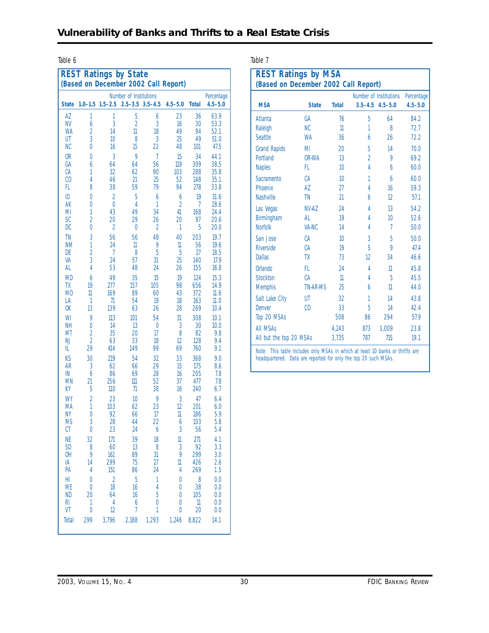Table 6 Table 7

|                        |                     |                | <b>REST Ratings by State</b> |                     | (Based on December 2002 Call Report) |              |                           |
|------------------------|---------------------|----------------|------------------------------|---------------------|--------------------------------------|--------------|---------------------------|
| <b>State</b>           | $1.0 - 1.5$         | $1.5 - 2.5$    | Number of Institutions       | $2.5 - 3.5$ 3.5-4.5 | $4.5 - 5.0$                          | <b>Total</b> | Percentage<br>$4.5 - 5.0$ |
|                        |                     |                |                              |                     |                                      |              |                           |
| AZ<br><b>NV</b>        | 1<br>6              | 1<br>3         | 5<br>$\overline{2}$          | 6<br>3              | 23<br>16                             | 36<br>30     | 63.9<br>53.3              |
| <b>WA</b>              | $\overline{2}$      | 14             | $\mathbb{1}$                 | 18                  | 49                                   | 94           | 52.1                      |
| UT                     | 3                   | 10             | 8                            | 3                   | 25                                   | 49           | 51.0                      |
| <b>NC</b>              | 0                   | 16             | 15                           | 22                  | 48                                   | 101          | 47.5                      |
| 0 <sub>R</sub>         | 0                   | 3              | 9                            | $\overline{7}$      | 15                                   | 34           | 44.1                      |
| GA<br>CA               | 6<br>1              | 64<br>32       | 64<br>62                     | 56<br>90            | 119<br>103                           | 309<br>288   | 38.5<br>35.8              |
| C <sub>0</sub>         | 4                   | 46             | 21                           | 25                  | 52                                   | 148          | 35.1                      |
| FL                     | 8                   | 38             | 59                           | 79                  | 94                                   | 278          | 33.8                      |
| ID                     | 0                   | $\overline{2}$ | 5                            | 6                   | 6                                    | 19           | 31.6                      |
| AK                     | 0                   | $\overline{0}$ | 4                            | 1                   | $\overline{2}$                       | 7            | 28.6                      |
| MI<br><b>SC</b>        | 1<br>$\overline{2}$ | 43<br>20       | 49<br>29                     | 34<br>26            | 41<br>20                             | 168<br>97    | 24.4<br>20.6              |
| <b>DC</b>              | 0                   | $\overline{2}$ | 0                            | $\overline{2}$      | 1                                    | 5            | 20.0                      |
| <b>TN</b>              | 3                   | 56             | 56                           | 48                  | 40                                   | 203          | 19.7                      |
| <b>NM</b>              | 1                   | 24             | 11                           | 9                   | $\mathbb{1}$                         | 56           | 19.6                      |
| DE                     | $\overline{2}$      | 7              | 8                            | 5                   | 5                                    | 27           | 18.5                      |
| VA<br>AL               | 3<br>4              | 24<br>53       | 57<br>48                     | 31<br>24            | 25<br>26                             | 140<br>155   | 17.9<br>16.8              |
| <b>MD</b>              | 6                   | 49             | 35                           | 15                  | 19                                   | 124          | 15.3                      |
| TX                     | 19                  | 277            | 157                          | 105                 | 98                                   | 656          | 14.9                      |
| M <sub>0</sub>         | 11                  | 169            | 89                           | 60                  | 43                                   | 372          | 11.6                      |
| LA                     | 1                   | 71             | 54                           | 19                  | 18                                   | 163          | 11.0                      |
| <b>OK</b>              | 13                  | 139            | 63                           | 26                  | 28                                   | 269          | 10.4                      |
| WI<br><b>NH</b>        | 9<br>0              | 113<br>14      | 101<br>13                    | 54<br>0             | 31<br>3                              | 308<br>30    | 10.1<br>10.0              |
| MT                     | $\overline{2}$      | 35             | 20                           | 17                  | 8                                    | 82           | 9.8                       |
| <b>NJ</b>              | $\overline{2}$      | 63             | 33                           | 18                  | 12                                   | 128          | 9.4                       |
| IL                     | 29                  | 414            | 149                          | 99                  | 69                                   | 760          | 9.1                       |
| KS                     | 30                  | 219            | 54                           | 32                  | 33                                   | 368          | 9.0                       |
| <b>AR</b><br>IN        | 3<br>6              | 62<br>86       | 66<br>69                     | 29<br>28            | 15<br>16                             | 175<br>205   | 8.6<br>7.8                |
| <b>MN</b>              | 21                  | 256            | 111                          | 52                  | 37                                   | 477          | 7.8                       |
| KY                     | 5                   | 110            | $\eta$                       | 38                  | 16                                   | 240          | 6.7                       |
| WY                     | $\overline{2}$      | 23             | 10                           | 9                   | 3                                    | 47           | 6.4                       |
| MA                     | 1                   | 103            | 62                           | 23                  | 12                                   | 201          | 6.0                       |
| <b>NY</b><br><b>MS</b> | 0<br>3              | 92<br>28       | 66<br>44                     | 17<br>22            | $\mathbb{1}$<br>6                    | 186<br>103   | 5.9<br>5.8                |
| CT                     | 0                   | 23             | 24                           | 6                   | 3                                    | 56           | 5.4                       |
| <b>NE</b>              | 32                  | 171            | 39                           | 18                  | $\mathbb{1}$                         | 271          | 4.1                       |
| <b>SD</b>              | 8                   | 60             | 13                           | 8                   | 3                                    | 92           | 3.3                       |
| 0H<br>IA               | 9<br>14             | 161<br>299     | 89<br>75                     | 31<br>27            | 9<br>11                              | 299<br>426   | 3.0<br>2.6                |
| PA                     | 4                   | 151            | 86                           | 24                  | 4                                    | 269          | 1.5                       |
| HI                     | 0                   | $\overline{a}$ | 5                            | 1                   | 0                                    | 8            | 0.0                       |
| <b>ME</b>              | 0                   | 18             | 16                           | 4                   | 0                                    | 38           | 0.0                       |
| <b>ND</b>              | 20                  | 64             | 16                           | 5                   | 0                                    | 105          | 0.0                       |
| RI.<br>VT              | 1<br>0              | 4<br>12        | 6<br>7                       | 0<br>1              | 0<br>0                               | 11<br>20     | 0.0<br>0.0                |
| Total                  | 299                 | 3,796          | 2,188                        | 1,293               | 1,246                                | 8,822        | 14.1                      |
|                        |                     |                |                              |                     |                                      |              |                           |

| ۰,<br>٠ | ٠<br>× |  |
|---------|--------|--|

| <b>REST Ratings by MSA</b><br>(Based on December 2002 Call Report) |                      |                 |                          |                                       |                           |
|--------------------------------------------------------------------|----------------------|-----------------|--------------------------|---------------------------------------|---------------------------|
| <b>MSA</b>                                                         | <b>State</b>         | <b>Total</b>    | $3.5 - 4.5$              | Number of Institutions<br>$4.5 - 5.0$ | Percentage<br>$4.5 - 5.0$ |
| Atlanta                                                            | <b>GA</b>            | 76              | 5                        | 64                                    | 84.2                      |
| Raleigh                                                            | NC.                  | $\mathbf 1$     | 1                        | 8                                     | 72.7                      |
| <b>Seattle</b>                                                     | <b>WA</b>            | 36              | 6                        | 26                                    | 72.2                      |
| <b>Grand Rapids</b>                                                | MI                   | 20              | 5                        | 14                                    | 70.0                      |
| Portland                                                           | OR-WA                | 13              | $\overline{\mathcal{L}}$ | 9                                     | 69.2                      |
| <b>Naples</b>                                                      | FL.                  | 10              | 4                        | 6                                     | 60.0                      |
| Sacramento                                                         | CA                   | 10              | 1                        | 6                                     | 60.0                      |
| Phoenix                                                            | A7                   | 27              | 4                        | 16                                    | 59.3                      |
| <b>Nashville</b>                                                   | <b>TN</b>            | $\mathfrak{A}$  | 6                        | 12                                    | 57.1                      |
| Las Vegas                                                          | NV-A7                | 24              | 4                        | 13                                    | 54.2                      |
| Birmingham                                                         | AI                   | 19              | 4                        | 10                                    | 526                       |
| <b>Norfolk</b>                                                     | VA-NC                | 14              | 4                        | 7                                     | 500                       |
| San Jose                                                           | CA                   | 10              | 3                        | 5                                     | 500                       |
| <b>Riverside</b>                                                   | CA                   | 19              | 5                        | $\overline{Q}$                        | 474                       |
| Dallas                                                             | TX                   | 73              | 12                       | 34                                    | 466                       |
| Orlando                                                            | FL.                  | 24              | 4                        | 11                                    | 45.8                      |
| <b>Stockton</b>                                                    | CA                   | $\mathbf 1$     | 4                        | 5                                     | 45.5                      |
| <b>Memphis</b>                                                     | <b>TN-AR-MS</b>      | 25              | 6                        | 11                                    | 440                       |
| Salt Lake City<br>Denver<br>Top 20 MSAs                            | UT<br>C <sub>0</sub> | 32<br>33<br>508 | 1<br>5<br>86             | 14<br>14<br>294                       | 43.8<br>42.4<br>57.9      |
| <b>All MSAs</b>                                                    |                      | 4.243           | 873                      | 1.009                                 | 23.8                      |
| All but the top 20 MSAs                                            |                      | 3,735           | 787                      | 715                                   | 19.1                      |

*Note:* This table includes only MSAs in which at least 10 banks or thrifts are headquartered. Data are reported for only the top 20 such MSAs.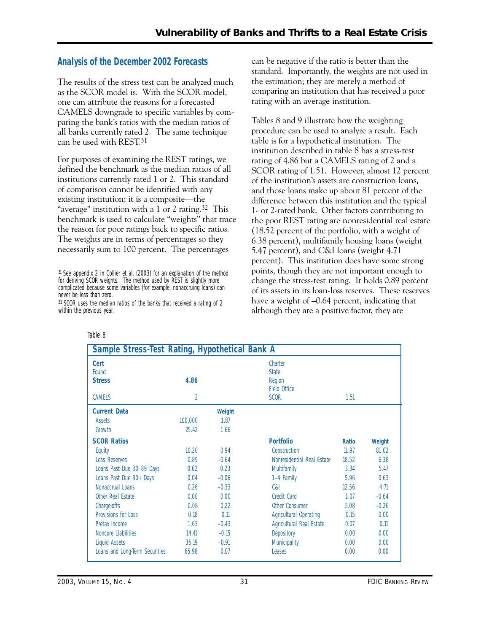## **Analysis of the December 2002 Forecasts**

The results of the stress test can be analyzed much as the SCOR model is. With the SCOR model, one can attribute the reasons for a forecasted CAMELS downgrade to specific variables by comparing the bank's ratios with the median ratios of all banks currently rated 2. The same technique can be used with REST.31

For purposes of examining the REST ratings, we defined the benchmark as the median ratios of all institutions currently rated 1 or 2. This standard of comparison cannot be identified with any existing institution; it is a composite—the "average" institution with a 1 or 2 rating.<sup>32</sup> This benchmark is used to calculate "weights" that trace the reason for poor ratings back to specific ratios. The weights are in terms of percentages so they necessarily sum to 100 percent. The percentages

can be negative if the ratio is better than the standard. Importantly, the weights are not used in the estimation; they are merely a method of comparing an institution that has received a poor rating with an average institution.

Tables 8 and 9 illustrate how the weighting procedure can be used to analyze a result. Each table is for a hypothetical institution. The institution described in table 8 has a stress-test rating of 4.86 but a CAMELS rating of 2 and a SCOR rating of 1.51. However, almost 12 percent of the institution's assets are construction loans, and those loans make up about 81 percent of the difference between this institution and the typical 1- or 2-rated bank. Other factors contributing to the poor REST rating are nonresidential real estate (18.52 percent of the portfolio, with a weight of 6.38 percent), multifamily housing loans (weight 5.47 percent), and C&I loans (weight 4.71 percent). This institution does have some strong points, though they are not important enough to change the stress-test rating. It holds 0.89 percent of its assets in its loan-loss reserves. These reserves have a weight of  $-0.64$  percent, indicating that although they are a positive factor, they are

| Sample Stress-Test Rating, Hypothetical Bank A         |                        |         |                                                                         |              |         |
|--------------------------------------------------------|------------------------|---------|-------------------------------------------------------------------------|--------------|---------|
| <b>Cert</b><br>Found<br><b>Stress</b><br><b>CAMELS</b> | 4.86<br>$\overline{2}$ |         | Charter<br><b>State</b><br>Region<br><b>Field Office</b><br><b>SCOR</b> | 1.51         |         |
|                                                        |                        |         |                                                                         |              |         |
| <b>Current Data</b>                                    |                        | Weight  |                                                                         |              |         |
| Assets                                                 | 100,000                | 1.87    |                                                                         |              |         |
| Growth                                                 | 25.42                  | 1.66    |                                                                         |              |         |
| <b>SCOR Ratios</b>                                     |                        |         | <b>Portfolio</b>                                                        | <b>Ratio</b> | Weight  |
| Equity                                                 | 10.20                  | 0.94    | Construction                                                            | 11.97        | 81.02   |
| <b>Loss Reserves</b>                                   | 0.89                   | $-0.64$ | Nonresidential Real Estate                                              | 18.52        | 6.38    |
| Loans Past Due 30-89 Days                              | 0.62                   | 0.23    | <b>Multifamily</b>                                                      | 3.34         | 5.47    |
| Loans Past Due 90+ Days                                | 0.04                   | $-0.06$ | 1-4 Family                                                              | 5.96         | 0.63    |
| Nonaccrual Loans                                       | 0.26                   | $-0.33$ | C&I                                                                     | 12.56        | 4.71    |
| Other Real Estate                                      | 0.00                   | 0.00    | Credit Card                                                             | 1.07         | $-0.64$ |
| Charge-offs                                            | 0.08                   | 0.22    | <b>Other Consumer</b>                                                   | 5.08         | $-0.26$ |
| Provisions for Loss                                    | 0.18                   | 0.11    | <b>Agricultural Operating</b>                                           | 0.15         | 0.00    |
| Pretax Income                                          | 163                    | $-0.43$ | Agricultural Real Estate                                                | 0.07         | 0.11    |
| Noncore Liabilities                                    | 14.41                  | $-0.15$ | Depository                                                              | 0.00         | 0.00    |
| Liquid Assets                                          | 36.19                  | $-0.91$ | <b>Municipality</b>                                                     | 0.00         | 0.00    |
| Loans and Long-Term Securities                         | 65.98                  | 0.07    | Leases                                                                  | 0.00         | 0.00    |

<sup>31</sup> See appendix 2 in Collier et al. (2003) for an explanation of the method for deriving SCOR weights. The method used by REST is slightly more complicated because some variables (for example, nonaccruing loans) can never be less than zero.

<sup>32</sup> SCOR uses the median ratios of the banks that received a rating of 2 within the previous year.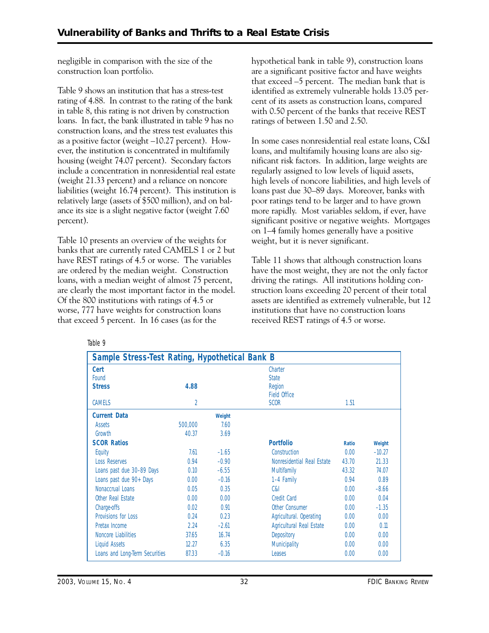negligible in comparison with the size of the construction loan portfolio.

Table 9 shows an institution that has a stress-test rating of 4.88. In contrast to the rating of the bank in table 8, this rating is not driven by construction loans. In fact, the bank illustrated in table 9 has no construction loans, and the stress test evaluates this as a positive factor (weight –10.27 percent). However, the institution is concentrated in multifamily housing (weight 74.07 percent). Secondary factors include a concentration in nonresidential real estate (weight 21.33 percent) and a reliance on noncore liabilities (weight 16.74 percent). This institution is relatively large (assets of \$500 million), and on balance its size is a slight negative factor (weight 7.60 percent).

Table 10 presents an overview of the weights for banks that are currently rated CAMELS 1 or 2 but have REST ratings of 4.5 or worse. The variables are ordered by the median weight. Construction loans, with a median weight of almost 75 percent, are clearly the most important factor in the model. Of the 800 institutions with ratings of 4.5 or worse, 777 have weights for construction loans that exceed 5 percent. In 16 cases (as for the

hypothetical bank in table 9), construction loans are a significant positive factor and have weights that exceed –5 percent. The median bank that is identified as extremely vulnerable holds 13.05 percent of its assets as construction loans, compared with 0.50 percent of the banks that receive REST ratings of between 1.50 and 2.50.

In some cases nonresidential real estate loans, C&I loans, and multifamily housing loans are also significant risk factors. In addition, large weights are regularly assigned to low levels of liquid assets, high levels of noncore liabilities, and high levels of loans past due 30–89 days. Moreover, banks with poor ratings tend to be larger and to have grown more rapidly. Most variables seldom, if ever, have significant positive or negative weights. Mortgages on 1–4 family homes generally have a positive weight, but it is never significant.

Table 11 shows that although construction loans have the most weight, they are not the only factor driving the ratings. All institutions holding construction loans exceeding 20 percent of their total assets are identified as extremely vulnerable, but 12 institutions that have no construction loans received REST ratings of 4.5 or worse.

| Sample Stress-Test Rating, Hypothetical Bank B |                |         |                            |              |          |
|------------------------------------------------|----------------|---------|----------------------------|--------------|----------|
| Cert                                           |                |         | Charter                    |              |          |
| Found                                          |                |         | <b>State</b>               |              |          |
| <b>Stress</b>                                  | 4.88           |         | Region                     |              |          |
|                                                |                |         | <b>Field Office</b>        |              |          |
| <b>CAMELS</b>                                  | $\overline{2}$ |         | <b>SCOR</b>                | 1.51         |          |
| <b>Current Data</b>                            |                | Weight  |                            |              |          |
| Assets                                         | 500,000        | 7.60    |                            |              |          |
| Growth                                         | 40.37          | 3.69    |                            |              |          |
| <b>SCOR Ratios</b>                             |                |         | <b>Portfolio</b>           | <b>Ratio</b> | Weight   |
| Equity                                         | 7.61           | $-1.65$ | Construction               | 0.00         | $-10.27$ |
| Loss Reserves                                  | 0.94           | $-0.90$ | Nonresidential Real Estate | 43.70        | 21.33    |
| Loans past due 30-89 Days                      | 0.10           | $-6.55$ | <b>Multifamily</b>         | 43.32        | 74.07    |
| Loans past due 90+ Days                        | 0.00           | $-0.16$ | 1-4 Family                 | 0.94         | 0.89     |
| Nonaccrual Loans                               | 0.05           | 0.35    | C&I                        | 0.00         | $-8.66$  |
| Other Real Estate                              | 0.00           | 0.00    | <b>Credit Card</b>         | 0.00         | 0.04     |
| Charge-offs                                    | 0.02           | 0.91    | Other Consumer             | 0.00         | $-1.35$  |
| Provisions for Loss                            | 0.24           | 0.23    | Agricultural. Operating    | 0.00         | 0.00     |
| Pretax Income                                  | 2.24           | $-2.61$ | Agricultural Real Estate   | 0.00         | 0.11     |
| Noncore Liabilities                            | 37.65          | 16.74   | Depository                 | 0.00         | 0.00     |
| Liquid Assets                                  | 12.27          | 6.35    | Municipality               | 0.00         | 0.00     |
| Loans and Long-Term Securities                 | 87.33          | $-0.16$ | Leases                     | 0.00         | 0.00     |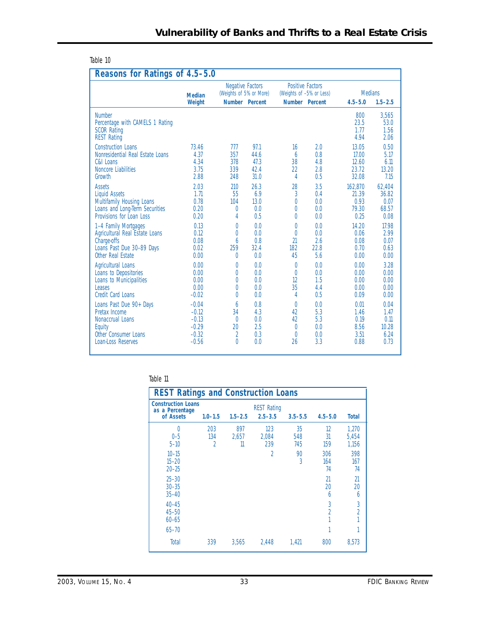| lable |  |
|-------|--|
|-------|--|

| Reasons for Ratings of 4.5-5.0                                                               |                         |                                                    |                       |                                                                       |      |                               |                               |  |  |  |  |
|----------------------------------------------------------------------------------------------|-------------------------|----------------------------------------------------|-----------------------|-----------------------------------------------------------------------|------|-------------------------------|-------------------------------|--|--|--|--|
|                                                                                              | <b>Median</b><br>Weight | <b>Negative Factors</b><br>(Weights of 5% or More) | <b>Number</b> Percent | <b>Positive Factors</b><br>(Weights of -5% or Less)<br>Number Percent |      | <b>Medians</b><br>$4.5 - 5.0$ | $1.5 - 2.5$                   |  |  |  |  |
| <b>Number</b><br>Percentage with CAMELS 1 Rating<br><b>SCOR Rating</b><br><b>REST Rating</b> |                         |                                                    |                       |                                                                       |      | 800<br>23.5<br>1.77<br>4.94   | 3.565<br>53.0<br>1.56<br>2.06 |  |  |  |  |
| <b>Construction Loans</b>                                                                    | 73.46                   | 777                                                | 97.1                  | 16                                                                    | 2.0  | 13.05                         | 0.50                          |  |  |  |  |
| Nonresidential Real Estate Loans                                                             | 4.37                    | 357                                                | 44.6                  | 6                                                                     | 0.8  | 17.00                         | 5.17                          |  |  |  |  |
| C&I Loans                                                                                    | 4.34                    | 378                                                | 47.3                  | 38                                                                    | 4.8  | 12.60                         | 6.11                          |  |  |  |  |
| Noncore Liabilities                                                                          | 3.75                    | 339                                                | 42.4                  | 22                                                                    | 2.8  | 23.72                         | 13.20                         |  |  |  |  |
| Growth                                                                                       | 2.88                    | 248                                                | 31.0                  | 4                                                                     | 0.5  | 32.08                         | 7.15                          |  |  |  |  |
| <b>Assets</b>                                                                                | 2.03                    | 210                                                | 26.3                  | 28                                                                    | 3.5  | 162,870                       | 62,404                        |  |  |  |  |
| <b>Liquid Assets</b>                                                                         | 1.71                    | 55                                                 | 6.9                   | 3                                                                     | 0.4  | 21.39                         | 36.82                         |  |  |  |  |
| Multifamily Housing Loans                                                                    | 0.78                    | 104                                                | 13.0                  | 0                                                                     | 0.0  | 0.93                          | 0.07                          |  |  |  |  |
| Loans and Long-Term Securities                                                               | 0.20                    | $\theta$                                           | 0.0                   | 0                                                                     | 0.0  | 79.30                         | 68.57                         |  |  |  |  |
| Provisions for Loan Loss                                                                     | 0.20                    | 4                                                  | 0.5                   | 0                                                                     | 0.0  | 0.25                          | 0.08                          |  |  |  |  |
| 1-4 Family Mortgages                                                                         | 0.13                    | 0                                                  | 0.0                   | 0                                                                     | 0.0  | 14.20                         | 17.98                         |  |  |  |  |
| Agricultural Real Estate Loans                                                               | 0.12                    | $\Omega$                                           | 0.0                   | 0                                                                     | 0.0  | 0.06                          | 2.99                          |  |  |  |  |
| Charge-offs                                                                                  | 0.08                    | 6                                                  | 0.8                   | $\overline{21}$                                                       | 2.6  | 0.08                          | 0.07                          |  |  |  |  |
| Loans Past Due 30-89 Days                                                                    | 0.02                    | 259                                                | 32.4                  | 182                                                                   | 22.8 | 0.70                          | 0.63                          |  |  |  |  |
| Other Real Estate                                                                            | 0.00                    | $\Omega$                                           | 0.0                   | 45                                                                    | 5.6  | 0.00                          | 0.00                          |  |  |  |  |
| <b>Agricultural Loans</b>                                                                    | 0.00                    | 0                                                  | 0.0                   | 0                                                                     | 0.0  | 0.00                          | 3.28                          |  |  |  |  |
| Loans to Depositories                                                                        | 0.00                    | 0                                                  | 0.0                   | 0                                                                     | 0.0  | 0.00                          | 0.00                          |  |  |  |  |
| Loans to Municipalities                                                                      | 0.00                    | 0                                                  | 0.0                   | 12                                                                    | 1.5  | 0.00                          | 0.00                          |  |  |  |  |
| <b>Leases</b>                                                                                | 0.00                    | 0                                                  | 0.0                   | 35                                                                    | 4.4  | 0.00                          | 0.00                          |  |  |  |  |
| Credit Card Loans                                                                            | $-0.02$                 | 0                                                  | 0.0                   | 4                                                                     | 0.5  | 0.09                          | 0.00                          |  |  |  |  |
| Loans Past Due 90+ Days                                                                      | $-0.04$                 | 6                                                  | 0.8                   | 0                                                                     | 0.0  | 0.01                          | 0.04                          |  |  |  |  |
| Pretax Income                                                                                | $-0.12$                 | 34                                                 | 4.3                   | 42                                                                    | 5.3  | 1.46                          | 1.47                          |  |  |  |  |
| Nonaccrual Loans                                                                             | $-0.13$                 | $\theta$                                           | 0.0                   | 42                                                                    | 5.3  | 0.19                          | 0.11                          |  |  |  |  |
| Equity                                                                                       | $-0.29$                 | 20                                                 | 2.5                   | $\theta$                                                              | 0.0  | 8.56                          | 10.28                         |  |  |  |  |
| Other Consumer Loans                                                                         | $-0.32$                 | 2                                                  | 0.3                   | $\theta$                                                              | 0.0  | 3.51                          | 6.24                          |  |  |  |  |
| Loan-Loss Reserves                                                                           | $-0.56$                 | $\Omega$                                           | 0.0                   | 26                                                                    | 3.3  | 0.88                          | 0.73                          |  |  |  |  |

| <b>REST Ratings and Construction Loans</b>                |                 |                    |                                   |                  |                  |                         |  |  |  |  |  |
|-----------------------------------------------------------|-----------------|--------------------|-----------------------------------|------------------|------------------|-------------------------|--|--|--|--|--|
| <b>Construction Loans</b><br>as a Percentage<br>of Assets | $1.0 - 1.5$     | $1.5 - 2.5$        | <b>REST Rating</b><br>$2.5 - 3.5$ | $3.5 - 5.5$      | $4.5 - 5.0$      | <b>Total</b>            |  |  |  |  |  |
| 0<br>$0 - 5$<br>$5 - 10$                                  | 203<br>134<br>2 | 897<br>2.657<br>11 | 123<br>2,084<br>239               | 35<br>548<br>745 | 12<br>31<br>159  | 1,270<br>5,454<br>1,156 |  |  |  |  |  |
| $10 - 15$<br>$15 - 20$<br>$20 - 25$                       |                 |                    | 2                                 | 90<br>3          | 306<br>164<br>74 | 398<br>167<br>74        |  |  |  |  |  |
| $25 - 30$<br>$30 - 35$<br>$35 - 40$                       |                 |                    |                                   |                  | 21<br>20<br>6    | 21<br>20<br>6           |  |  |  |  |  |
| $40 - 45$<br>$45 - 50$<br>$60 - 65$                       |                 |                    |                                   |                  | 3<br>2           | 3<br>$\overline{2}$     |  |  |  |  |  |
| $65 - 70$                                                 |                 |                    |                                   |                  |                  | 1                       |  |  |  |  |  |
| Total                                                     | 339             | 3,565              | 2,448                             | 1.421            | 800              | 8,573                   |  |  |  |  |  |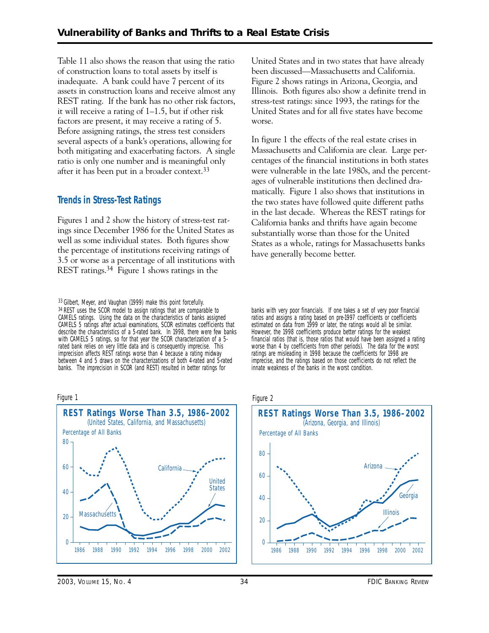inadequate. A bank could have 7 percent of its both mitigating and exacerbating factors. A single Table 11 also shows the reason that using the ratio of construction loans to total assets by itself is assets in construction loans and receive almost any REST rating. If the bank has no other risk factors, it will receive a rating of 1–1.5, but if other risk factors are present, it may receive a rating of 5. Before assigning ratings, the stress test considers several aspects of a bank's operations, allowing for ratio is only one number and is meaningful only after it has been put in a broader context.33

## **Trends in Stress-Test Ratings**

Figures 1 and 2 show the history of stress-test ratings since December 1986 for the United States as well as some individual states. Both figures show the percentage of institutions receiving ratings of 3.5 or worse as a percentage of all institutions with REST ratings.34 Figure 1 shows ratings in the

33 Gilbert, Meyer, and Vaughan (1999) make this point forcefully. 34 REST uses the SCOR model to assign ratings that are comparable to CAMELS ratings. Using the data on the characteristics of banks assigned CAMELS 5 ratings after actual examinations, SCOR estimates coefficients that describe the characteristics of a 5-rated bank. In 1998, there were few banks with CAMELS 5 ratings, so for that year the SCOR characterization of a 5 rated bank relies on very little data and is consequently imprecise. This imprecision affects REST ratings worse than 4 because a rating midway between 4 and 5 draws on the characterizations of both 4-rated and 5-rated banks. The imprecision in SCOR (and REST) resulted in better ratings for

#### Figure 1



United States and in two states that have already been discussed—Massachusetts and California. Figure 2 shows ratings in Arizona, Georgia, and Illinois. Both figures also show a definite trend in stress-test ratings: since 1993, the ratings for the United States and for all five states have become worse.

In figure 1 the effects of the real estate crises in Massachusetts and California are clear. Large percentages of the financial institutions in both states were vulnerable in the late 1980s, and the percentages of vulnerable institutions then declined dramatically. Figure 1 also shows that institutions in the two states have followed quite different paths in the last decade. Whereas the REST ratings for California banks and thrifts have again become substantially worse than those for the United States as a whole, ratings for Massachusetts banks have generally become better.

banks with very poor financials. If one takes a set of very poor financial ratios and assigns a rating based on pre-1997 coefficients or coefficients estimated on data from 1999 or later, the ratings would all be similar. However, the 1998 coefficients produce better ratings for the weakest financial ratios (that is, those ratios that would have been assigned a rating worse than 4 by coefficients from other periods). The data for the worst ratings are misleading in 1998 because the coefficients for 1998 are imprecise, and the ratings based on those coefficients do not reflect the innate weakness of the banks in the worst condition.

#### Figure 2



*2003, VOLUME 15, NO. 4* 34 *FDIC BANKING REVIEW*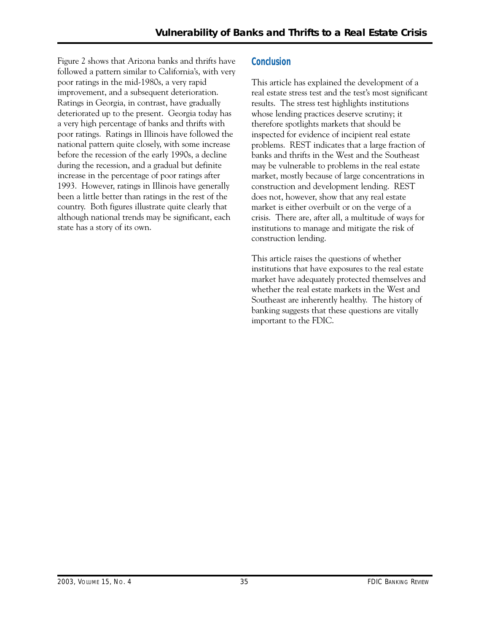Figure 2 shows that Arizona banks and thrifts have followed a pattern similar to California's, with very poor ratings in the mid-1980s, a very rapid improvement, and a subsequent deterioration. Ratings in Georgia, in contrast, have gradually deteriorated up to the present. Georgia today has a very high percentage of banks and thrifts with poor ratings. Ratings in Illinois have followed the national pattern quite closely, with some increase before the recession of the early 1990s, a decline during the recession, and a gradual but definite increase in the percentage of poor ratings after 1993. However, ratings in Illinois have generally been a little better than ratings in the rest of the country. Both figures illustrate quite clearly that although national trends may be significant, each state has a story of its own.

### **Conclusion**

This article has explained the development of a real estate stress test and the test's most significant results. The stress test highlights institutions whose lending practices deserve scrutiny; it therefore spotlights markets that should be inspected for evidence of incipient real estate problems. REST indicates that a large fraction of banks and thrifts in the West and the Southeast may be vulnerable to problems in the real estate market, mostly because of large concentrations in construction and development lending. REST does not, however, show that any real estate market is either overbuilt or on the verge of a crisis. There are, after all, a multitude of ways for institutions to manage and mitigate the risk of construction lending.

This article raises the questions of whether institutions that have exposures to the real estate market have adequately protected themselves and whether the real estate markets in the West and Southeast are inherently healthy. The history of banking suggests that these questions are vitally important to the FDIC.